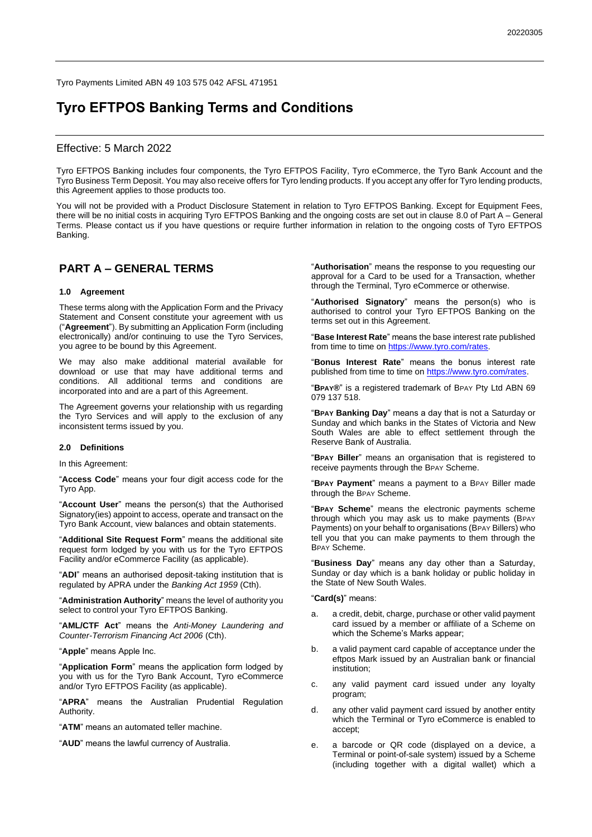Tyro Payments Limited ABN 49 103 575 042 AFSL 471951

# **Tyro EFTPOS Banking Terms and Conditions**

# Effective: 5 March 2022

Tyro EFTPOS Banking includes four components, the Tyro EFTPOS Facility, Tyro eCommerce, the Tyro Bank Account and the Tyro Business Term Deposit. You may also receive offers for Tyro lending products. If you accept any offer for Tyro lending products, this Agreement applies to those products too.

You will not be provided with a Product Disclosure Statement in relation to Tyro EFTPOS Banking. Except for Equipment Fees, there will be no initial costs in acquiring Tyro EFTPOS Banking and the ongoing costs are set out in clause [8.0](#page-5-0) of Part A – General Terms. Please contact us if you have questions or require further information in relation to the ongoing costs of Tyro EFTPOS Banking.

# **PART A – GENERAL TERMS**

#### **1.0 Agreement**

These terms along with the Application Form and the Privacy Statement and Consent constitute your agreement with us ("**Agreement**"). By submitting an Application Form (including electronically) and/or continuing to use the Tyro Services, you agree to be bound by this Agreement.

We may also make additional material available for download or use that may have additional terms and conditions. All additional terms and conditions are incorporated into and are a part of this Agreement.

The Agreement governs your relationship with us regarding the Tyro Services and will apply to the exclusion of any inconsistent terms issued by you.

#### <span id="page-0-0"></span>**2.0 Definitions**

In this Agreement:

"**Access Code**" means your four digit access code for the Tyro App.

"**Account User**" means the person(s) that the Authorised Signatory(ies) appoint to access, operate and transact on the Tyro Bank Account, view balances and obtain statements.

"**Additional Site Request Form**" means the additional site request form lodged by you with us for the Tyro EFTPOS Facility and/or eCommerce Facility (as applicable).

"**ADI**" means an authorised deposit-taking institution that is regulated by APRA under the *Banking Act 1959* (Cth).

"**Administration Authority**" means the level of authority you select to control your Tyro EFTPOS Banking.

"**AML/CTF Act**" means the *Anti-Money Laundering and Counter-Terrorism Financing Act 2006* (Cth).

"**Apple**" means Apple Inc.

"**Application Form**" means the application form lodged by you with us for the Tyro Bank Account, Tyro eCommerce and/or Tyro EFTPOS Facility (as applicable).

"**APRA**" means the Australian Prudential Regulation Authority.

"**ATM**" means an automated teller machine.

"**AUD**" means the lawful currency of Australia.

"**Authorisation**" means the response to you requesting our approval for a Card to be used for a Transaction, whether through the Terminal, Tyro eCommerce or otherwise.

"**Authorised Signatory**" means the person(s) who is authorised to control your Tyro EFTPOS Banking on the terms set out in this Agreement.

"**Base Interest Rate**" means the base interest rate published from time to time o[n https://www.tyro.com/rates.](https://www.tyro.com/rates)

"**Bonus Interest Rate**" means the bonus interest rate published from time to time on [https://www.tyro.com/rates.](https://www.tyro.com/rates)

"**BPAY®**" is a registered trademark of BPAY Pty Ltd ABN 69 079 137 518.

"**BPAY Banking Day**" means a day that is not a Saturday or Sunday and which banks in the States of Victoria and New South Wales are able to effect settlement through the Reserve Bank of Australia.

"**BPAY Biller**" means an organisation that is registered to receive payments through the BPAY Scheme.

"**BPAY Payment**" means a payment to a BPAY Biller made through the BPAY Scheme.

"**BPAY Scheme**" means the electronic payments scheme through which you may ask us to make payments (BPAY Payments) on your behalf to organisations (BPAY Billers) who tell you that you can make payments to them through the BPAY Scheme.

"**Business Day**" means any day other than a Saturday, Sunday or day which is a bank holiday or public holiday in the State of New South Wales.

#### "**Card(s)**" means:

- a. a credit, debit, charge, purchase or other valid payment card issued by a member or affiliate of a Scheme on which the Scheme's Marks appear;
- b. a valid payment card capable of acceptance under the eftpos Mark issued by an Australian bank or financial institution;
- c. any valid payment card issued under any loyalty program;
- d. any other valid payment card issued by another entity which the Terminal or Tyro eCommerce is enabled to accept;
- e. a barcode or QR code (displayed on a device, a Terminal or point-of-sale system) issued by a Scheme (including together with a digital wallet) which a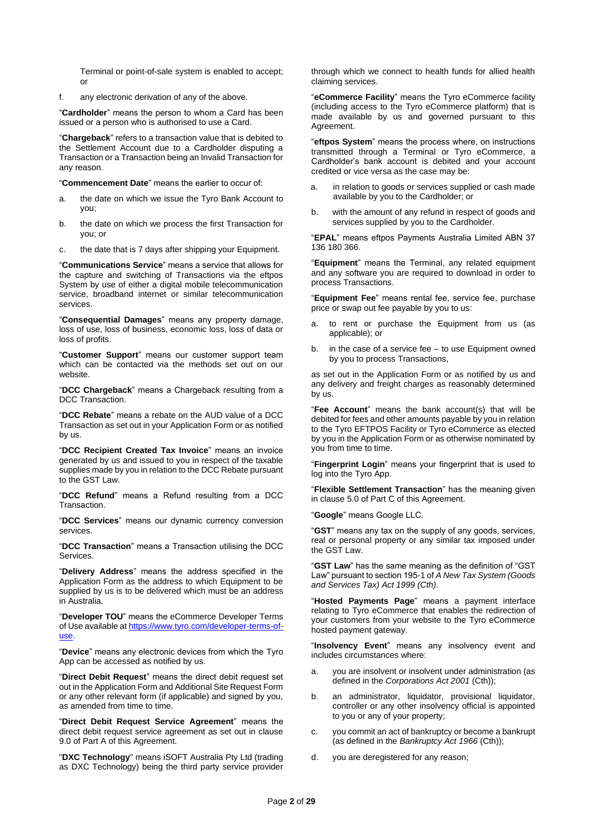Terminal or point-of-sale system is enabled to accept; or

f. any electronic derivation of any of the above.

"**Cardholder**" means the person to whom a Card has been issued or a person who is authorised to use a Card.

"**Chargeback**" refers to a transaction value that is debited to the Settlement Account due to a Cardholder disputing a Transaction or a Transaction being an Invalid Transaction for any reason.

"**Commencement Date**" means the earlier to occur of:

- a. the date on which we issue the Tyro Bank Account to you;
- b. the date on which we process the first Transaction for you; or
- c. the date that is 7 days after shipping your Equipment.

"**Communications Service**" means a service that allows for the capture and switching of Transactions via the eftpos System by use of either a digital mobile telecommunication service, broadband internet or similar telecommunication services.

"**Consequential Damages**" means any property damage, loss of use, loss of business, economic loss, loss of data or loss of profits.

"**Customer Support**" means our customer support team which can be contacted via the methods set out on our website.

"**DCC Chargeback**" means a Chargeback resulting from a DCC Transaction.

"**DCC Rebate**" means a rebate on the AUD value of a DCC Transaction as set out in your Application Form or as notified by us.

"**DCC Recipient Created Tax Invoice**" means an invoice generated by us and issued to you in respect of the taxable supplies made by you in relation to the DCC Rebate pursuant to the GST Law.

"**DCC Refund**" means a Refund resulting from a DCC Transaction.

"**DCC Services**" means our dynamic currency conversion services.

"**DCC Transaction**" means a Transaction utilising the DCC Services.

"**Delivery Address**" means the address specified in the Application Form as the address to which Equipment to be supplied by us is to be delivered which must be an address in Australia.

"**Developer TOU**" means the eCommerce Developer Terms of Use available at [https://www.tyro.com/developer-terms-of](https://www.tyro.com/developer-terms-of-use)[use.](https://www.tyro.com/developer-terms-of-use)

"**Device**" means any electronic devices from which the Tyro App can be accessed as notified by us.

"**Direct Debit Request**" means the direct debit request set out in the Application Form and Additional Site Request Form or any other relevant form (if applicable) and signed by you, as amended from time to time.

"**Direct Debit Request Service Agreement**" means the direct debit request service agreement as set out in clause [9.0](#page-6-0) of Part A of this Agreement.

"**DXC Technology**" means iSOFT Australia Pty Ltd (trading as DXC Technology) being the third party service provider

through which we connect to health funds for allied health claiming services.

"**eCommerce Facility**" means the Tyro eCommerce facility (including access to the Tyro eCommerce platform) that is made available by us and governed pursuant to this Agreement.

"**eftpos System**" means the process where, on instructions transmitted through a Terminal or Tyro eCommerce, a Cardholder's bank account is debited and your account credited or vice versa as the case may be:

- a. in relation to goods or services supplied or cash made available by you to the Cardholder; or
- b. with the amount of any refund in respect of goods and services supplied by you to the Cardholder.

"**EPAL**" means eftpos Payments Australia Limited ABN 37 136 180 366.

"**Equipment**" means the Terminal, any related equipment and any software you are required to download in order to process Transactions.

"**Equipment Fee**" means rental fee, service fee, purchase price or swap out fee payable by you to us:

- a. to rent or purchase the Equipment from us (as applicable); or
- b. in the case of a service fee to use Equipment owned by you to process Transactions,

as set out in the Application Form or as notified by us and any delivery and freight charges as reasonably determined by us.

"**Fee Account**" means the bank account(s) that will be debited for fees and other amounts payable by you in relation to the Tyro EFTPOS Facility or Tyro eCommerce as elected by you in the Application Form or as otherwise nominated by you from time to time.

"**Fingerprint Login**" means your fingerprint that is used to log into the Tyro App.

"**Flexible Settlement Transaction**" has the meaning given in clause [5.0](#page-23-0) of Part C of this Agreement.

"**Google**" means Google LLC.

"**GST**" means any tax on the supply of any goods, services, real or personal property or any similar tax imposed under the GST Law.

"**GST Law**" has the same meaning as the definition of "GST Law" pursuant to section 195-1 of *A New Tax System (Goods and Services Tax) Act 1999 (Cth)*.

"**Hosted Payments Page**" means a payment interface relating to Tyro eCommerce that enables the redirection of your customers from your website to the Tyro eCommerce hosted payment gateway.

"**Insolvency Event**" means any insolvency event and includes circumstances where:

- a. you are insolvent or insolvent under administration (as defined in the *Corporations Act 2001* (Cth));
- b. an administrator, liquidator, provisional liquidator, controller or any other insolvency official is appointed to you or any of your property;
- c. you commit an act of bankruptcy or become a bankrupt (as defined in the *Bankruptcy Act 1966* (Cth));
- d. you are deregistered for any reason;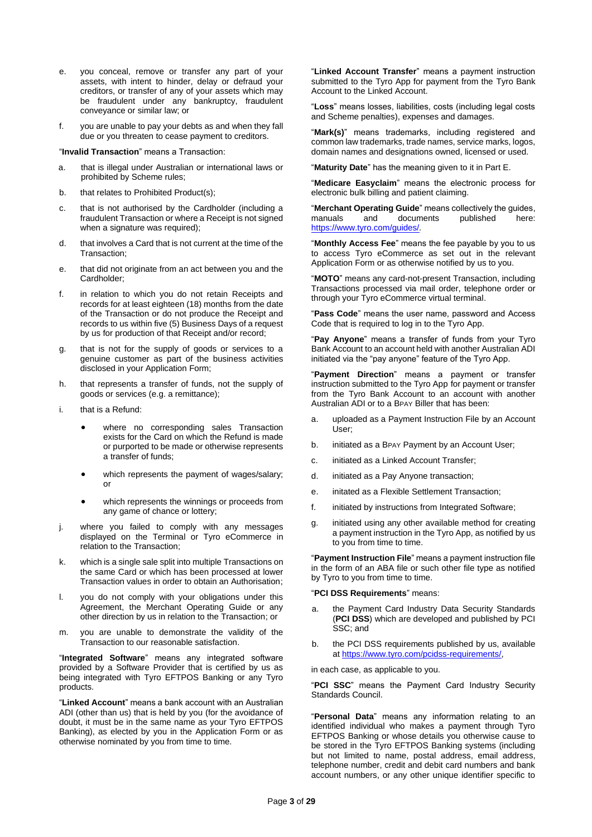- e. you conceal, remove or transfer any part of your assets, with intent to hinder, delay or defraud your creditors, or transfer of any of your assets which may be fraudulent under any bankruptcy, fraudulent conveyance or similar law; or
- f. you are unable to pay your debts as and when they fall due or you threaten to cease payment to creditors.

"**Invalid Transaction**" means a Transaction:

- a. that is illegal under Australian or international laws or prohibited by Scheme rules;
- b. that relates to Prohibited Product(s);
- c. that is not authorised by the Cardholder (including a fraudulent Transaction or where a Receipt is not signed when a signature was required);
- d. that involves a Card that is not current at the time of the Transaction;
- e. that did not originate from an act between you and the Cardholder;
- f. in relation to which you do not retain Receipts and records for at least eighteen (18) months from the date of the Transaction or do not produce the Receipt and records to us within five (5) Business Days of a request by us for production of that Receipt and/or record;
- g. that is not for the supply of goods or services to a genuine customer as part of the business activities disclosed in your Application Form;
- h. that represents a transfer of funds, not the supply of goods or services (e.g. a remittance);
- i. that is a Refund:
	- where no corresponding sales Transaction exists for the Card on which the Refund is made or purported to be made or otherwise represents a transfer of funds;
	- which represents the payment of wages/salary; or
	- which represents the winnings or proceeds from any game of chance or lottery;
- j. where you failed to comply with any messages displayed on the Terminal or Tyro eCommerce in relation to the Transaction;
- k. which is a single sale split into multiple Transactions on the same Card or which has been processed at lower Transaction values in order to obtain an Authorisation;
- l. you do not comply with your obligations under this Agreement, the Merchant Operating Guide or any other direction by us in relation to the Transaction; or
- m. you are unable to demonstrate the validity of the Transaction to our reasonable satisfaction.

"**Integrated Software**" means any integrated software provided by a Software Provider that is certified by us as being integrated with Tyro EFTPOS Banking or any Tyro products.

"**Linked Account**" means a bank account with an Australian ADI (other than us) that is held by you (for the avoidance of doubt, it must be in the same name as your Tyro EFTPOS Banking), as elected by you in the Application Form or as otherwise nominated by you from time to time.

"**Linked Account Transfer**" means a payment instruction submitted to the Tyro App for payment from the Tyro Bank Account to the Linked Account.

"**Loss**" means losses, liabilities, costs (including legal costs and Scheme penalties), expenses and damages.

"**Mark(s)**" means trademarks, including registered and common law trademarks, trade names, service marks, logos, domain names and designations owned, licensed or used.

"**Maturity Date**" has the meaning given to it in Part E.

"**Medicare Easyclaim**" means the electronic process for electronic bulk billing and patient claiming.

"**Merchant Operating Guide**" means collectively the guides, and documents <https://www.tyro.com/guides/>*.*

"**Monthly Access Fee**" means the fee payable by you to us to access Tyro eCommerce as set out in the relevant Application Form or as otherwise notified by us to you.

"**MOTO**" means any card-not-present Transaction, including Transactions processed via mail order, telephone order or through your Tyro eCommerce virtual terminal.

"**Pass Code**" means the user name, password and Access Code that is required to log in to the Tyro App.

"**Pay Anyone**" means a transfer of funds from your Tyro Bank Account to an account held with another Australian ADI initiated via the "pay anyone" feature of the Tyro App.

"**Payment Direction**" means a payment or transfer instruction submitted to the Tyro App for payment or transfer from the Tyro Bank Account to an account with another Australian ADI or to a BPAY Biller that has been:

- a. uploaded as a Payment Instruction File by an Account User;
- b. initiated as a BPAY Payment by an Account User;
- c. initiated as a Linked Account Transfer;
- d. initiated as a Pay Anyone transaction;
- e. initated as a Flexible Settlement Transaction;
- f. initiated by instructions from Integrated Software;
- g. initiated using any other available method for creating a payment instruction in the Tyro App, as notified by us to you from time to time.

"**Payment Instruction File**" means a payment instruction file in the form of an ABA file or such other file type as notified by Tyro to you from time to time.

#### "**PCI DSS Requirements**" means:

- a. the Payment Card Industry Data Security Standards (**PCI DSS**) which are developed and published by PCI SSC; and
- b. the PCI DSS requirements published by us, available at [https://www.tyro.com/pcidss-requirements/,](https://www.tyro.com/pcidss-requirements/)

in each case, as applicable to you.

"**PCI SSC**" means the Payment Card Industry Security Standards Council.

"**Personal Data**" means any information relating to an identified individual who makes a payment through Tyro EFTPOS Banking or whose details you otherwise cause to be stored in the Tyro EFTPOS Banking systems (including but not limited to name, postal address, email address, telephone number, credit and debit card numbers and bank account numbers, or any other unique identifier specific to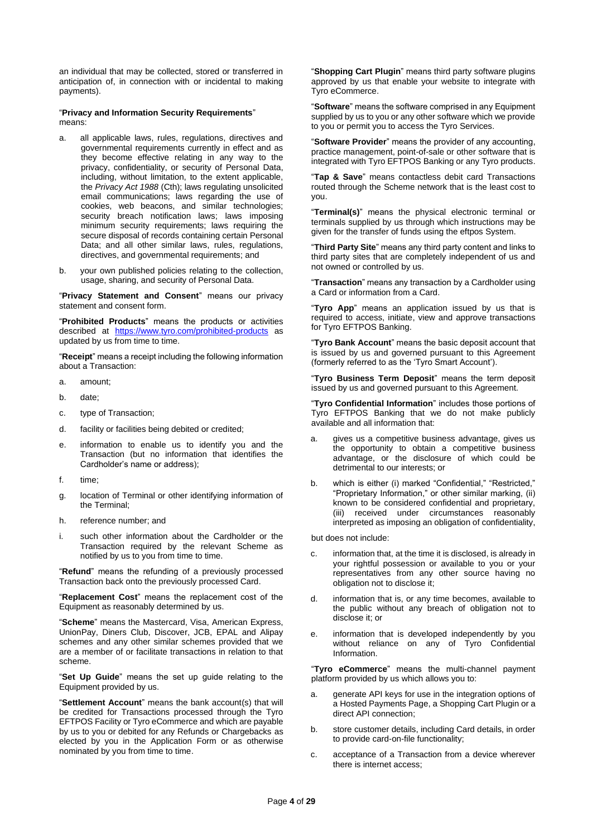an individual that may be collected, stored or transferred in anticipation of, in connection with or incidental to making payments).

#### "**Privacy and Information Security Requirements**" means:

- a. all applicable laws, rules, regulations, directives and governmental requirements currently in effect and as they become effective relating in any way to the privacy, confidentiality, or security of Personal Data, including, without limitation, to the extent applicable, the *Privacy Act 1988* (Cth); laws regulating unsolicited email communications; laws regarding the use of cookies, web beacons, and similar technologies; security breach notification laws; laws imposing minimum security requirements; laws requiring the secure disposal of records containing certain Personal Data; and all other similar laws, rules, regulations, directives, and governmental requirements; and
- b. your own published policies relating to the collection, usage, sharing, and security of Personal Data.

"**Privacy Statement and Consent**" means our privacy statement and consent form.

"**Prohibited Products**" means the products or activities described at <https://www.tyro.com/prohibited-products> as updated by us from time to time.

"**Receipt**" means a receipt including the following information about a Transaction:

- a. amount;
- b. date;
- c. type of Transaction;
- d. facility or facilities being debited or credited;
- e. information to enable us to identify you and the Transaction (but no information that identifies the Cardholder's name or address);
- f. time;
- g. location of Terminal or other identifying information of the Terminal;
- h. reference number; and
- i. such other information about the Cardholder or the Transaction required by the relevant Scheme as notified by us to you from time to time.

"**Refund**" means the refunding of a previously processed Transaction back onto the previously processed Card.

"**Replacement Cost**" means the replacement cost of the Equipment as reasonably determined by us.

"**Scheme**" means the Mastercard, Visa, American Express, UnionPay, Diners Club, Discover, JCB, EPAL and Alipay schemes and any other similar schemes provided that we are a member of or facilitate transactions in relation to that scheme.

"**Set Up Guide**" means the set up guide relating to the Equipment provided by us.

"**Settlement Account**" means the bank account(s) that will be credited for Transactions processed through the Tyro EFTPOS Facility or Tyro eCommerce and which are payable by us to you or debited for any Refunds or Chargebacks as elected by you in the Application Form or as otherwise nominated by you from time to time.

"**Shopping Cart Plugin**" means third party software plugins approved by us that enable your website to integrate with Tyro eCommerce.

"**Software**" means the software comprised in any Equipment supplied by us to you or any other software which we provide to you or permit you to access the Tyro Services.

"**Software Provider**" means the provider of any accounting, practice management, point-of-sale or other software that is integrated with Tyro EFTPOS Banking or any Tyro products.

"**Tap & Save**" means contactless debit card Transactions routed through the Scheme network that is the least cost to you.

"**Terminal(s)**" means the physical electronic terminal or terminals supplied by us through which instructions may be given for the transfer of funds using the eftpos System.

"**Third Party Site**" means any third party content and links to third party sites that are completely independent of us and not owned or controlled by us.

"**Transaction**" means any transaction by a Cardholder using a Card or information from a Card.

"**Tyro App**" means an application issued by us that is required to access, initiate, view and approve transactions for Tyro EFTPOS Banking.

"**Tyro Bank Account**" means the basic deposit account that is issued by us and governed pursuant to this Agreement (formerly referred to as the 'Tyro Smart Account').

"**Tyro Business Term Deposit**" means the term deposit issued by us and governed pursuant to this Agreement.

"**Tyro Confidential Information**" includes those portions of Tyro EFTPOS Banking that we do not make publicly available and all information that:

- a. gives us a competitive business advantage, gives us the opportunity to obtain a competitive business advantage, or the disclosure of which could be detrimental to our interests; or
- b. which is either (i) marked "Confidential," "Restricted," "Proprietary Information," or other similar marking, (ii) known to be considered confidential and proprietary, (iii) received under circumstances reasonably interpreted as imposing an obligation of confidentiality,

but does not include:

- c. information that, at the time it is disclosed, is already in your rightful possession or available to you or your representatives from any other source having no obligation not to disclose it;
- d. information that is, or any time becomes, available to the public without any breach of obligation not to disclose it; or
- e. information that is developed independently by you without reliance on any of Tyro Confidential Information.

"**Tyro eCommerce**" means the multi-channel payment platform provided by us which allows you to:

- a. generate API keys for use in the integration options of a Hosted Payments Page, a Shopping Cart Plugin or a direct API connection;
- b. store customer details, including Card details, in order to provide card-on-file functionality;
- c. acceptance of a Transaction from a device wherever there is internet access;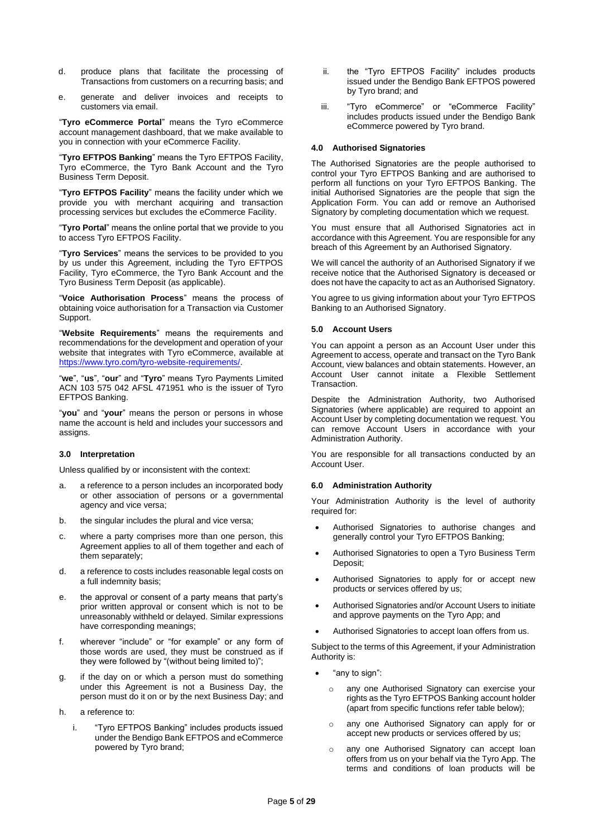- d. produce plans that facilitate the processing of Transactions from customers on a recurring basis; and
- e. generate and deliver invoices and receipts to customers via email.

"**Tyro eCommerce Portal**" means the Tyro eCommerce account management dashboard, that we make available to you in connection with your eCommerce Facility.

"**Tyro EFTPOS Banking**" means the Tyro EFTPOS Facility, Tyro eCommerce, the Tyro Bank Account and the Tyro Business Term Deposit.

"**Tyro EFTPOS Facility**" means the facility under which we provide you with merchant acquiring and transaction processing services but excludes the eCommerce Facility.

"**Tyro Portal**" means the online portal that we provide to you to access Tyro EFTPOS Facility.

"**Tyro Services**" means the services to be provided to you by us under this Agreement, including the Tyro EFTPOS Facility, Tyro eCommerce, the Tyro Bank Account and the Tyro Business Term Deposit (as applicable).

"**Voice Authorisation Process**" means the process of obtaining voice authorisation for a Transaction via Customer Support.

"**Website Requirements**" means the requirements and recommendations for the development and operation of your website that integrates with Tyro eCommerce, available at [https://www.tyro.com/tyro-website-requirements/.](https://www.tyro.com/tyro-website-requirements/)

"**we**", "**us**", "**our**" and "**Tyro**" means Tyro Payments Limited ACN 103 575 042 AFSL 471951 who is the issuer of Tyro EFTPOS Banking.

"**you**" and "**your**" means the person or persons in whose name the account is held and includes your successors and assigns.

# <span id="page-4-0"></span>**3.0 Interpretation**

Unless qualified by or inconsistent with the context:

- a. a reference to a person includes an incorporated body or other association of persons or a governmental agency and vice versa;
- b. the singular includes the plural and vice versa;
- c. where a party comprises more than one person, this Agreement applies to all of them together and each of them separately;
- d. a reference to costs includes reasonable legal costs on a full indemnity basis;
- e. the approval or consent of a party means that party's prior written approval or consent which is not to be unreasonably withheld or delayed. Similar expressions have corresponding meanings;
- f. wherever "include" or "for example" or any form of those words are used, they must be construed as if they were followed by "(without being limited to)";
- g. if the day on or which a person must do something under this Agreement is not a Business Day, the person must do it on or by the next Business Day; and
- h. a reference to:
	- i. "Tyro EFTPOS Banking" includes products issued under the Bendigo Bank EFTPOS and eCommerce powered by Tyro brand;
- ii. the "Tyro EFTPOS Facility" includes products issued under the Bendigo Bank EFTPOS powered by Tyro brand; and
- iii. "Tyro eCommerce" or "eCommerce Facility" includes products issued under the Bendigo Bank eCommerce powered by Tyro brand.

# **4.0 Authorised Signatories**

The Authorised Signatories are the people authorised to control your Tyro EFTPOS Banking and are authorised to perform all functions on your Tyro EFTPOS Banking. The initial Authorised Signatories are the people that sign the Application Form. You can add or remove an Authorised Signatory by completing documentation which we request.

You must ensure that all Authorised Signatories act in accordance with this Agreement. You are responsible for any breach of this Agreement by an Authorised Signatory.

We will cancel the authority of an Authorised Signatory if we receive notice that the Authorised Signatory is deceased or does not have the capacity to act as an Authorised Signatory.

You agree to us giving information about your Tyro EFTPOS Banking to an Authorised Signatory.

# **5.0 Account Users**

You can appoint a person as an Account User under this Agreement to access, operate and transact on the Tyro Bank Account, view balances and obtain statements. However, an Account User cannot initate a Flexible Settlement **Transaction** 

Despite the Administration Authority, two Authorised Signatories (where applicable) are required to appoint an Account User by completing documentation we request. You can remove Account Users in accordance with your Administration Authority.

You are responsible for all transactions conducted by an Account User.

## **6.0 Administration Authority**

Your Administration Authority is the level of authority required for:

- Authorised Signatories to authorise changes and generally control your Tyro EFTPOS Banking;
- Authorised Signatories to open a Tyro Business Term Deposit;
- Authorised Signatories to apply for or accept new products or services offered by us;
- Authorised Signatories and/or Account Users to initiate and approve payments on the Tyro App; and
- Authorised Signatories to accept loan offers from us.

Subject to the terms of this Agreement, if your Administration Authority is:

- "any to sign":
	- o any one Authorised Signatory can exercise your rights as the Tyro EFTPOS Banking account holder (apart from specific functions refer table below);
	- o any one Authorised Signatory can apply for or accept new products or services offered by us;
	- o any one Authorised Signatory can accept loan offers from us on your behalf via the Tyro App. The terms and conditions of loan products will be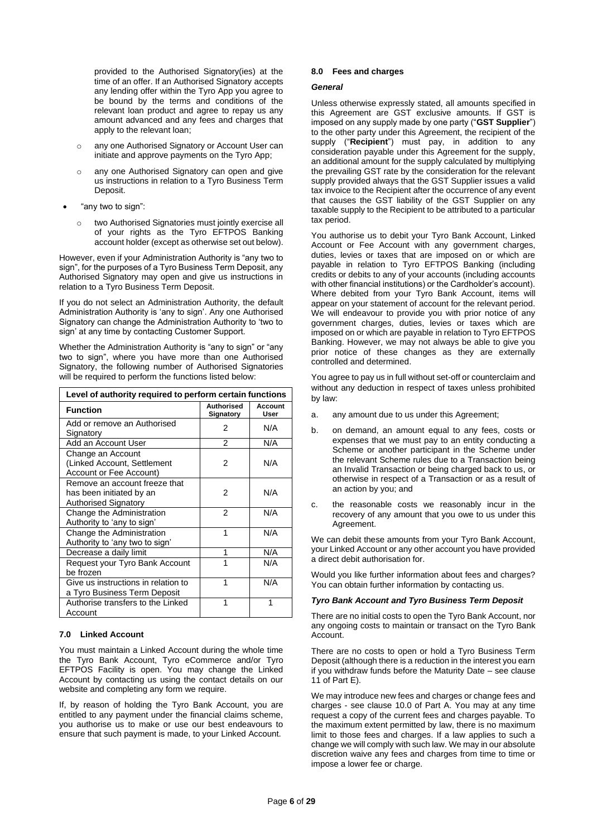provided to the Authorised Signatory(ies) at the time of an offer. If an Authorised Signatory accepts any lending offer within the Tyro App you agree to be bound by the terms and conditions of the relevant loan product and agree to repay us any amount advanced and any fees and charges that apply to the relevant loan;

- o any one Authorised Signatory or Account User can initiate and approve payments on the Tyro App;
- o any one Authorised Signatory can open and give us instructions in relation to a Tyro Business Term Deposit.
- "any two to sign":
	- o two Authorised Signatories must jointly exercise all of your rights as the Tyro EFTPOS Banking account holder (except as otherwise set out below).

However, even if your Administration Authority is "any two to sign", for the purposes of a Tyro Business Term Deposit, any Authorised Signatory may open and give us instructions in relation to a Tyro Business Term Deposit.

If you do not select an Administration Authority, the default Administration Authority is 'any to sign'. Any one Authorised Signatory can change the Administration Authority to 'two to sign' at any time by contacting Customer Support.

Whether the Administration Authority is "any to sign" or "any two to sign", where you have more than one Authorised Signatory, the following number of Authorised Signatories will be required to perform the functions listed below:

| Level of authority required to perform certain functions                                 |                         |                 |  |
|------------------------------------------------------------------------------------------|-------------------------|-----------------|--|
| <b>Function</b>                                                                          | Authorised<br>Signatory | Account<br>User |  |
| Add or remove an Authorised<br>Signatory                                                 | 2                       | N/A             |  |
| Add an Account User                                                                      | 2                       | N/A             |  |
| Change an Account<br>(Linked Account, Settlement<br>Account or Fee Account)              | 2                       | N/A             |  |
| Remove an account freeze that<br>has been initiated by an<br><b>Authorised Signatory</b> | 2                       | N/A             |  |
| Change the Administration<br>Authority to 'any to sign'                                  | $\overline{2}$          | N/A             |  |
| Change the Administration<br>Authority to 'any two to sign'                              | 1                       | N/A             |  |
| Decrease a daily limit                                                                   | 1                       | N/A             |  |
| Request your Tyro Bank Account<br>be frozen                                              | 1                       | N/A             |  |
| Give us instructions in relation to<br>a Tyro Business Term Deposit                      | 1                       | N/A             |  |
| Authorise transfers to the Linked<br>Account                                             | 1                       | 1               |  |

# **7.0 Linked Account**

You must maintain a Linked Account during the whole time the Tyro Bank Account, Tyro eCommerce and/or Tyro EFTPOS Facility is open. You may change the Linked Account by contacting us using the contact details on our website and completing any form we require.

If, by reason of holding the Tyro Bank Account, you are entitled to any payment under the financial claims scheme, you authorise us to make or use our best endeavours to ensure that such payment is made, to your Linked Account.

# <span id="page-5-0"></span>**8.0 Fees and charges**

# *General*

Unless otherwise expressly stated, all amounts specified in this Agreement are GST exclusive amounts. If GST is imposed on any supply made by one party ("**GST Supplier**") to the other party under this Agreement, the recipient of the supply ("Recipient") must pay, in addition to any consideration payable under this Agreement for the supply, an additional amount for the supply calculated by multiplying the prevailing GST rate by the consideration for the relevant supply provided always that the GST Supplier issues a valid tax invoice to the Recipient after the occurrence of any event that causes the GST liability of the GST Supplier on any taxable supply to the Recipient to be attributed to a particular tax period.

You authorise us to debit your Tyro Bank Account, Linked Account or Fee Account with any government charges, duties, levies or taxes that are imposed on or which are payable in relation to Tyro EFTPOS Banking (including credits or debits to any of your accounts (including accounts with other financial institutions) or the Cardholder's account). Where debited from your Tyro Bank Account, items will appear on your statement of account for the relevant period. We will endeavour to provide you with prior notice of any government charges, duties, levies or taxes which are imposed on or which are payable in relation to Tyro EFTPOS Banking. However, we may not always be able to give you prior notice of these changes as they are externally controlled and determined.

You agree to pay us in full without set-off or counterclaim and without any deduction in respect of taxes unless prohibited by law:

- a. any amount due to us under this Agreement;
- b. on demand, an amount equal to any fees, costs or expenses that we must pay to an entity conducting a Scheme or another participant in the Scheme under the relevant Scheme rules due to a Transaction being an Invalid Transaction or being charged back to us, or otherwise in respect of a Transaction or as a result of an action by you; and
- c. the reasonable costs we reasonably incur in the recovery of any amount that you owe to us under this Agreement.

We can debit these amounts from your Tyro Bank Account, your Linked Account or any other account you have provided a direct debit authorisation for.

Would you like further information about fees and charges? You can obtain further information by contacting us.

# *Tyro Bank Account and Tyro Business Term Deposit*

There are no initial costs to open the Tyro Bank Account, nor any ongoing costs to maintain or transact on the Tyro Bank Account.

There are no costs to open or hold a Tyro Business Term Deposit (although there is a reduction in the interest you earn if you withdraw funds before the Maturity Date – see clause 11 of Part E).

We may introduce new fees and charges or change fees and charges - see clause [10.0](#page-7-0) of Part A. You may at any time request a copy of the current fees and charges payable. To the maximum extent permitted by law, there is no maximum limit to those fees and charges. If a law applies to such a change we will comply with such law. We may in our absolute discretion waive any fees and charges from time to time or impose a lower fee or charge.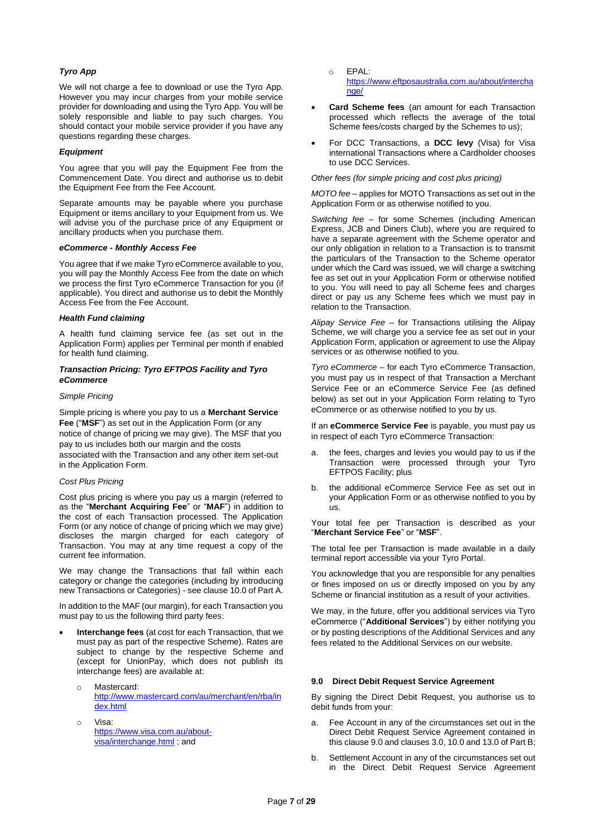# *Tyro App*

We will not charge a fee to download or use the Tyro App. However you may incur charges from your mobile service provider for downloading and using the Tyro App. You will be solely responsible and liable to pay such charges. You should contact your mobile service provider if you have any questions regarding these charges.

## *Equipment*

You agree that you will pay the Equipment Fee from the Commencement Date. You direct and authorise us to debit the Equipment Fee from the Fee Account.

Separate amounts may be payable where you purchase Equipment or items ancillary to your Equipment from us. We will advise you of the purchase price of any Equipment or ancillary products when you purchase them.

## *eCommerce - Monthly Access Fee*

You agree that if we make Tyro eCommerce available to you, you will pay the Monthly Access Fee from the date on which we process the first Tyro eCommerce Transaction for you (if applicable). You direct and authorise us to debit the Monthly Access Fee from the Fee Account.

# *Health Fund claiming*

A health fund claiming service fee (as set out in the Application Form) applies per Terminal per month if enabled for health fund claiming.

# *Transaction Pricing: Tyro EFTPOS Facility and Tyro eCommerce*

# *Simple Pricing*

Simple pricing is where you pay to us a **Merchant Service Fee** ("**MSF**") as set out in the Application Form (or any notice of change of pricing we may give). The MSF that you pay to us includes both our margin and the costs associated with the Transaction and any other item set-out in the Application Form.

# *Cost Plus Pricing*

Cost plus pricing is where you pay us a margin (referred to as the "**Merchant Acquiring Fee**" or "**MAF**") in addition to the cost of each Transaction processed. The Application Form (or any notice of change of pricing which we may give) discloses the margin charged for each category of Transaction. You may at any time request a copy of the current fee information.

We may change the Transactions that fall within each category or change the categories (including by introducing new Transactions or Categories) - see claus[e 10.0](#page-7-0) of Part A.

In addition to the MAF (our margin), for each Transaction you must pay to us the following third party fees:

- **Interchange fees** (at cost for each Transaction, that we must pay as part of the respective Scheme). Rates are subject to change by the respective Scheme and (except for UnionPay, which does not publish its interchange fees) are available at:
	- Mastercard: [http://www.mastercard.com/au/merchant/en/rba/in](http://www.mastercard.com/au/merchant/en/rba/index.html) [dex.html](http://www.mastercard.com/au/merchant/en/rba/index.html)
	- o Visa: [https://www.visa.com.au/about](https://www.visa.com.au/about-visa/interchange.html)[visa/interchange.html](https://www.visa.com.au/about-visa/interchange.html); and
- o EPAL: [https://www.eftposaustralia.com.au/about/intercha](https://www.eftposaustralia.com.au/about/interchange/) [nge/](https://www.eftposaustralia.com.au/about/interchange/)
- **Card Scheme fees** (an amount for each Transaction processed which reflects the average of the total Scheme fees/costs charged by the Schemes to us);
- For DCC Transactions, a **DCC levy** (Visa) for Visa international Transactions where a Cardholder chooses to use DCC Services.

## *Other fees (for simple pricing and cost plus pricing)*

*MOTO fee* – applies for MOTO Transactions as set out in the Application Form or as otherwise notified to you.

*Switching fee* – for some Schemes (including American Express, JCB and Diners Club), where you are required to have a separate agreement with the Scheme operator and our only obligation in relation to a Transaction is to transmit the particulars of the Transaction to the Scheme operator under which the Card was issued, we will charge a switching fee as set out in your Application Form or otherwise notified to you. You will need to pay all Scheme fees and charges direct or pay us any Scheme fees which we must pay in relation to the Transaction.

*Alipay Service Fee* – for Transactions utilising the Alipay Scheme, we will charge you a service fee as set out in your Application Form, application or agreement to use the Alipay services or as otherwise notified to you.

*Tyro eCommerce* – for each Tyro eCommerce Transaction, you must pay us in respect of that Transaction a Merchant Service Fee or an eCommerce Service Fee (as defined below) as set out in your Application Form relating to Tyro eCommerce or as otherwise notified to you by us.

If an **eCommerce Service Fee** is payable, you must pay us in respect of each Tyro eCommerce Transaction:

- a. the fees, charges and levies you would pay to us if the Transaction were processed through your Tyro EFTPOS Facility; plus
- b. the additional eCommerce Service Fee as set out in your Application Form or as otherwise notified to you by us.

Your total fee per Transaction is described as your "**Merchant Service Fee**" or "**MSF**".

The total fee per Transaction is made available in a daily terminal report accessible via your Tyro Portal.

You acknowledge that you are responsible for any penalties or fines imposed on us or directly imposed on you by any Scheme or financial institution as a result of your activities.

We may, in the future, offer you additional services via Tyro eCommerce ("**Additional Services**") by either notifying you or by posting descriptions of the Additional Services and any fees related to the Additional Services on our website.

#### <span id="page-6-0"></span>**9.0 Direct Debit Request Service Agreement**

By signing the Direct Debit Request, you authorise us to debit funds from your:

- a. Fee Account in any of the circumstances set out in the Direct Debit Request Service Agreement contained in this clause [9.0](#page-6-0) and clauses [3.0,](#page-14-0) [10.0](#page-18-0) an[d 13.0](#page-19-0) of Part B;
- b. Settlement Account in any of the circumstances set out in the Direct Debit Request Service Agreement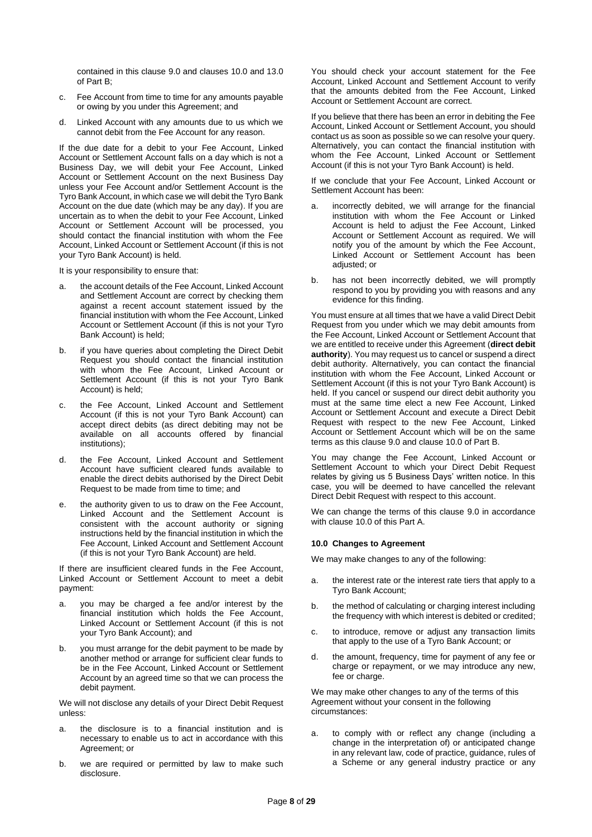contained in this clause [9.0](#page-6-0) and clauses [10.0](#page-18-0) and [13.0](#page-19-0) of Part B;

- c. Fee Account from time to time for any amounts payable or owing by you under this Agreement; and
- d. Linked Account with any amounts due to us which we cannot debit from the Fee Account for any reason.

If the due date for a debit to your Fee Account, Linked Account or Settlement Account falls on a day which is not a Business Day, we will debit your Fee Account, Linked Account or Settlement Account on the next Business Day unless your Fee Account and/or Settlement Account is the Tyro Bank Account, in which case we will debit the Tyro Bank Account on the due date (which may be any day). If you are uncertain as to when the debit to your Fee Account, Linked Account or Settlement Account will be processed, you should contact the financial institution with whom the Fee Account, Linked Account or Settlement Account (if this is not your Tyro Bank Account) is held.

It is your responsibility to ensure that:

- a. the account details of the Fee Account, Linked Account and Settlement Account are correct by checking them against a recent account statement issued by the financial institution with whom the Fee Account, Linked Account or Settlement Account (if this is not your Tyro Bank Account) is held;
- b. if you have queries about completing the Direct Debit Request you should contact the financial institution with whom the Fee Account, Linked Account or Settlement Account (if this is not your Tyro Bank Account) is held;
- c. the Fee Account, Linked Account and Settlement Account (if this is not your Tyro Bank Account) can accept direct debits (as direct debiting may not be available on all accounts offered by financial institutions);
- d. the Fee Account, Linked Account and Settlement Account have sufficient cleared funds available to enable the direct debits authorised by the Direct Debit Request to be made from time to time; and
- e. the authority given to us to draw on the Fee Account, Linked Account and the Settlement Account is consistent with the account authority or signing instructions held by the financial institution in which the Fee Account, Linked Account and Settlement Account (if this is not your Tyro Bank Account) are held.

If there are insufficient cleared funds in the Fee Account, Linked Account or Settlement Account to meet a debit payment:

- a. you may be charged a fee and/or interest by the financial institution which holds the Fee Account, Linked Account or Settlement Account (if this is not your Tyro Bank Account); and
- b. you must arrange for the debit payment to be made by another method or arrange for sufficient clear funds to be in the Fee Account, Linked Account or Settlement Account by an agreed time so that we can process the debit payment.

We will not disclose any details of your Direct Debit Request unless:

- a. the disclosure is to a financial institution and is necessary to enable us to act in accordance with this Agreement; or
- b. we are required or permitted by law to make such disclosure.

You should check your account statement for the Fee Account, Linked Account and Settlement Account to verify that the amounts debited from the Fee Account, Linked Account or Settlement Account are correct.

If you believe that there has been an error in debiting the Fee Account, Linked Account or Settlement Account, you should contact us as soon as possible so we can resolve your query. Alternatively, you can contact the financial institution with whom the Fee Account, Linked Account or Settlement Account (if this is not your Tyro Bank Account) is held.

If we conclude that your Fee Account, Linked Account or Settlement Account has been:

- a. incorrectly debited, we will arrange for the financial institution with whom the Fee Account or Linked Account is held to adjust the Fee Account, Linked Account or Settlement Account as required. We will notify you of the amount by which the Fee Account, Linked Account or Settlement Account has been adjusted; or
- b. has not been incorrectly debited, we will promptly respond to you by providing you with reasons and any evidence for this finding.

You must ensure at all times that we have a valid Direct Debit Request from you under which we may debit amounts from the Fee Account, Linked Account or Settlement Account that we are entitled to receive under this Agreement (**direct debit authority**). You may request us to cancel or suspend a direct debit authority. Alternatively, you can contact the financial institution with whom the Fee Account, Linked Account or Settlement Account (if this is not your Tyro Bank Account) is held. If you cancel or suspend our direct debit authority you must at the same time elect a new Fee Account, Linked Account or Settlement Account and execute a Direct Debit Request with respect to the new Fee Account, Linked Account or Settlement Account which will be on the same terms as this claus[e 9.0](#page-6-0) and clause [10.0](#page-18-0) of Part B.

You may change the Fee Account, Linked Account or Settlement Account to which your Direct Debit Request relates by giving us 5 Business Days' written notice. In this case, you will be deemed to have cancelled the relevant Direct Debit Request with respect to this account.

We can change the terms of this clause [9.0](#page-6-0) in accordance with claus[e 10.0](#page-7-0) of this Part A.

## <span id="page-7-0"></span>**10.0 Changes to Agreement**

We may make changes to any of the following:

- a. the interest rate or the interest rate tiers that apply to a Tyro Bank Account;
- b. the method of calculating or charging interest including the frequency with which interest is debited or credited;
- c. to introduce, remove or adjust any transaction limits that apply to the use of a Tyro Bank Account; or
- d. the amount, frequency, time for payment of any fee or charge or repayment, or we may introduce any new, fee or charge.

We may make other changes to any of the terms of this Agreement without your consent in the following circumstances:

to comply with or reflect any change (including a change in the interpretation of) or anticipated change in any relevant law, code of practice, guidance, rules of a Scheme or any general industry practice or any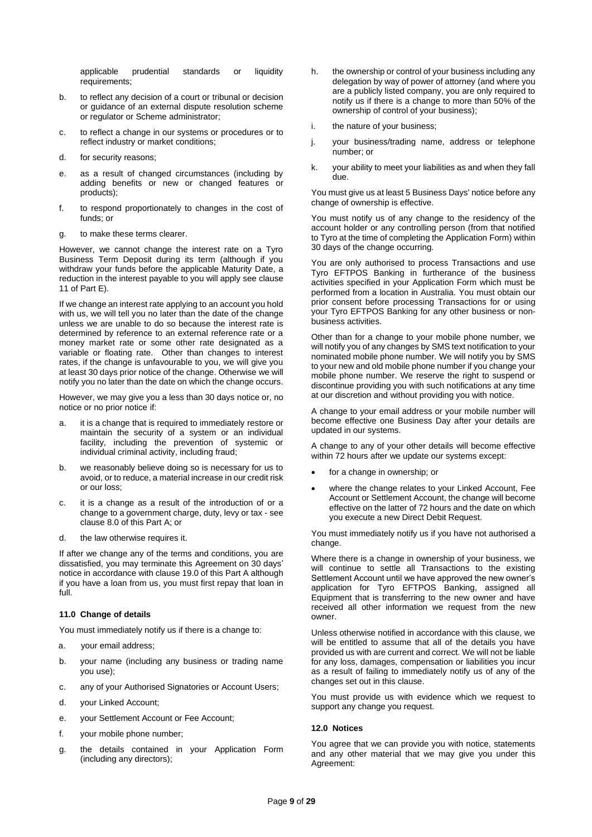applicable prudential standards or liquidity requirements;

- b. to reflect any decision of a court or tribunal or decision or guidance of an external dispute resolution scheme or regulator or Scheme administrator;
- c. to reflect a change in our systems or procedures or to reflect industry or market conditions;
- d. for security reasons;
- e. as a result of changed circumstances (including by adding benefits or new or changed features or products);
- f. to respond proportionately to changes in the cost of funds; or
- g. to make these terms clearer.

However, we cannot change the interest rate on a Tyro Business Term Deposit during its term (although if you withdraw your funds before the applicable Maturity Date, a reduction in the interest payable to you will apply see clause 11 of Part E).

If we change an interest rate applying to an account you hold with us, we will tell you no later than the date of the change unless we are unable to do so because the interest rate is determined by reference to an external reference rate or a money market rate or some other rate designated as a variable or floating rate. Other than changes to interest rates, if the change is unfavourable to you, we will give you at least 30 days prior notice of the change. Otherwise we will notify you no later than the date on which the change occurs.

However, we may give you a less than 30 days notice or, no notice or no prior notice if:

- a. it is a change that is required to immediately restore or maintain the security of a system or an individual facility, including the prevention of systemic or individual criminal activity, including fraud;
- b. we reasonably believe doing so is necessary for us to avoid, or to reduce, a material increase in our credit risk or our loss;
- c. it is a change as a result of the introduction of or a change to a government charge, duty, levy or tax - see claus[e 8.0](#page-5-0) of this Part A; or
- d. the law otherwise requires it.

If after we change any of the terms and conditions, you are dissatisfied, you may terminate this Agreement on 30 days' notice in accordance with clause [19.0](#page-11-0) of this Part A although if you have a loan from us, you must first repay that loan in full.

#### **11.0 Change of details**

You must immediately notify us if there is a change to:

- a. your email address;
- b. your name (including any business or trading name you use);
- c. any of your Authorised Signatories or Account Users;
- d. your Linked Account;
- e. your Settlement Account or Fee Account;
- f. your mobile phone number;
- g. the details contained in your Application Form (including any directors);
- h. the ownership or control of your business including any delegation by way of power of attorney (and where you are a publicly listed company, you are only required to notify us if there is a change to more than 50% of the ownership of control of your business);
- i. the nature of your business;
- j. your business/trading name, address or telephone number; or
- k. your ability to meet your liabilities as and when they fall due.

You must give us at least 5 Business Days' notice before any change of ownership is effective.

You must notify us of any change to the residency of the account holder or any controlling person (from that notified to Tyro at the time of completing the Application Form) within 30 days of the change occurring.

You are only authorised to process Transactions and use Tyro EFTPOS Banking in furtherance of the business activities specified in your Application Form which must be performed from a location in Australia. You must obtain our prior consent before processing Transactions for or using your Tyro EFTPOS Banking for any other business or nonbusiness activities.

Other than for a change to your mobile phone number, we will notify you of any changes by SMS text notification to your nominated mobile phone number. We will notify you by SMS to your new and old mobile phone number if you change your mobile phone number. We reserve the right to suspend or discontinue providing you with such notifications at any time at our discretion and without providing you with notice.

A change to your email address or your mobile number will become effective one Business Day after your details are updated in our systems.

A change to any of your other details will become effective within 72 hours after we update our systems except:

- for a change in ownership; or
- where the change relates to your Linked Account, Fee Account or Settlement Account, the change will become effective on the latter of 72 hours and the date on which you execute a new Direct Debit Request.

You must immediately notify us if you have not authorised a change.

Where there is a change in ownership of your business, we will continue to settle all Transactions to the existing Settlement Account until we have approved the new owner's application for Tyro EFTPOS Banking, assigned all Equipment that is transferring to the new owner and have received all other information we request from the new owner.

Unless otherwise notified in accordance with this clause, we will be entitled to assume that all of the details you have provided us with are current and correct. We will not be liable for any loss, damages, compensation or liabilities you incur as a result of failing to immediately notify us of any of the changes set out in this clause.

You must provide us with evidence which we request to support any change you request.

#### <span id="page-8-0"></span>**12.0 Notices**

You agree that we can provide you with notice, statements and any other material that we may give you under this Agreement: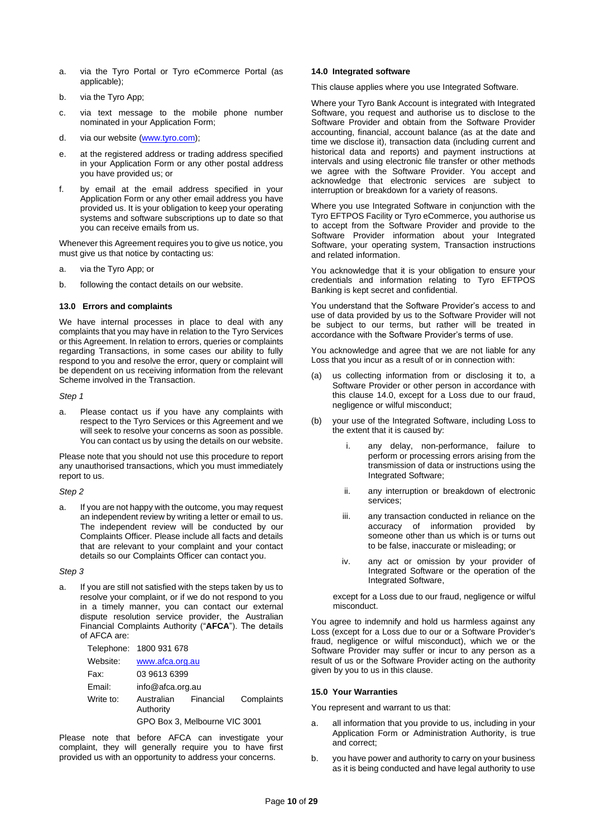- a. via the Tyro Portal or Tyro eCommerce Portal (as applicable);
- b. via the Tyro App;
- c. via text message to the mobile phone number nominated in your Application Form;
- d. via our website [\(www.tyro.com\)](http://www.tyro.com/);
- e. at the registered address or trading address specified in your Application Form or any other postal address you have provided us; or
- f. by email at the email address specified in your Application Form or any other email address you have provided us. It is your obligation to keep your operating systems and software subscriptions up to date so that you can receive emails from us.

Whenever this Agreement requires you to give us notice, you must give us that notice by contacting us:

- a. via the Tyro App; or
- b. following the contact details on our website.

# **13.0 Errors and complaints**

We have internal processes in place to deal with any complaints that you may have in relation to the Tyro Services or this Agreement. In relation to errors, queries or complaints regarding Transactions, in some cases our ability to fully respond to you and resolve the error, query or complaint will be dependent on us receiving information from the relevant Scheme involved in the Transaction.

*Step 1* 

a. Please contact us if you have any complaints with respect to the Tyro Services or this Agreement and we will seek to resolve your concerns as soon as possible. You can contact us by using the details on our website.

Please note that you should not use this procedure to report any unauthorised transactions, which you must immediately report to us.

*Step 2*

a. If you are not happy with the outcome, you may request an independent review by writing a letter or email to us. The independent review will be conducted by our Complaints Officer. Please include all facts and details that are relevant to your complaint and your contact details so our Complaints Officer can contact you.

*Step 3*

a. If you are still not satisfied with the steps taken by us to resolve your complaint, or if we do not respond to you in a timely manner, you can contact our external dispute resolution service provider, the Australian Financial Complaints Authority ("**AFCA**"). The details of AFCA are:

|           | Telephone: 1800 931 678           |                               |            |  |
|-----------|-----------------------------------|-------------------------------|------------|--|
| Website:  | www.afca.org.au                   |                               |            |  |
| Fax:      | 03 9613 6399                      |                               |            |  |
| Email:    | info@afca.org.au                  |                               |            |  |
| Write to: | Australian Financial<br>Authority |                               | Complaints |  |
|           |                                   | GPO Box 3, Melbourne VIC 3001 |            |  |

Please note that before AFCA can investigate your complaint, they will generally require you to have first provided us with an opportunity to address your concerns.

# <span id="page-9-0"></span>**14.0 Integrated software**

This clause applies where you use Integrated Software.

Where your Tyro Bank Account is integrated with Integrated Software, you request and authorise us to disclose to the Software Provider and obtain from the Software Provider accounting, financial, account balance (as at the date and time we disclose it), transaction data (including current and historical data and reports) and payment instructions at intervals and using electronic file transfer or other methods we agree with the Software Provider. You accept and acknowledge that electronic services are subject to interruption or breakdown for a variety of reasons.

Where you use Integrated Software in conjunction with the Tyro EFTPOS Facility or Tyro eCommerce, you authorise us to accept from the Software Provider and provide to the Software Provider information about your Integrated Software, your operating system, Transaction instructions and related information.

You acknowledge that it is your obligation to ensure your credentials and information relating to Tyro EFTPOS Banking is kept secret and confidential.

You understand that the Software Provider's access to and use of data provided by us to the Software Provider will not be subject to our terms, but rather will be treated in accordance with the Software Provider's terms of use.

You acknowledge and agree that we are not liable for any Loss that you incur as a result of or in connection with:

- us collecting information from or disclosing it to, a Software Provider or other person in accordance with this clause [14.0,](#page-9-0) except for a Loss due to our fraud, negligence or wilful misconduct;
- (b) your use of the Integrated Software, including Loss to the extent that it is caused by:
	- i. any delay, non-performance, failure to perform or processing errors arising from the transmission of data or instructions using the Integrated Software;
	- ii. any interruption or breakdown of electronic services;
	- iii. any transaction conducted in reliance on the accuracy of information provided by someone other than us which is or turns out to be false, inaccurate or misleading; or
	- iv. any act or omission by your provider of Integrated Software or the operation of the Integrated Software,

except for a Loss due to our fraud, negligence or wilful misconduct.

You agree to indemnify and hold us harmless against any Loss (except for a Loss due to our or a Software Provider's fraud, negligence or wilful misconduct), which we or the Software Provider may suffer or incur to any person as a result of us or the Software Provider acting on the authority given by you to us in this clause.

# <span id="page-9-1"></span>**15.0 Your Warranties**

You represent and warrant to us that:

- a. all information that you provide to us, including in your Application Form or Administration Authority, is true and correct;
- b. you have power and authority to carry on your business as it is being conducted and have legal authority to use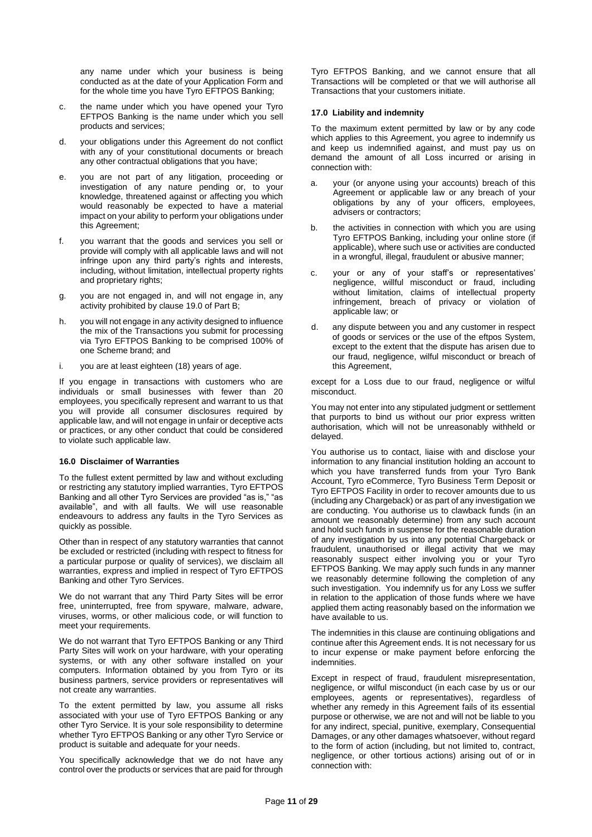any name under which your business is being conducted as at the date of your Application Form and for the whole time you have Tyro EFTPOS Banking;

- c. the name under which you have opened your Tyro EFTPOS Banking is the name under which you sell products and services;
- d. your obligations under this Agreement do not conflict with any of your constitutional documents or breach any other contractual obligations that you have;
- e. you are not part of any litigation, proceeding or investigation of any nature pending or, to your knowledge, threatened against or affecting you which would reasonably be expected to have a material impact on your ability to perform your obligations under this Agreement;
- f. you warrant that the goods and services you sell or provide will comply with all applicable laws and will not infringe upon any third party's rights and interests, including, without limitation, intellectual property rights and proprietary rights;
- g. you are not engaged in, and will not engage in, any activity prohibited by clause [19.0](#page-21-0) of Part B;
- h. you will not engage in any activity designed to influence the mix of the Transactions you submit for processing via Tyro EFTPOS Banking to be comprised 100% of one Scheme brand; and
- i. you are at least eighteen (18) years of age.

If you engage in transactions with customers who are individuals or small businesses with fewer than 20 employees, you specifically represent and warrant to us that you will provide all consumer disclosures required by applicable law, and will not engage in unfair or deceptive acts or practices, or any other conduct that could be considered to violate such applicable law.

# <span id="page-10-0"></span>**16.0 Disclaimer of Warranties**

To the fullest extent permitted by law and without excluding or restricting any statutory implied warranties, Tyro EFTPOS Banking and all other Tyro Services are provided "as is," "as available", and with all faults. We will use reasonable endeavours to address any faults in the Tyro Services as quickly as possible.

Other than in respect of any statutory warranties that cannot be excluded or restricted (including with respect to fitness for a particular purpose or quality of services), we disclaim all warranties, express and implied in respect of Tyro EFTPOS Banking and other Tyro Services.

We do not warrant that any Third Party Sites will be error free, uninterrupted, free from spyware, malware, adware, viruses, worms, or other malicious code, or will function to meet your requirements.

We do not warrant that Tyro EFTPOS Banking or any Third Party Sites will work on your hardware, with your operating systems, or with any other software installed on your computers. Information obtained by you from Tyro or its business partners, service providers or representatives will not create any warranties.

To the extent permitted by law, you assume all risks associated with your use of Tyro EFTPOS Banking or any other Tyro Service. It is your sole responsibility to determine whether Tyro EFTPOS Banking or any other Tyro Service or product is suitable and adequate for your needs.

You specifically acknowledge that we do not have any control over the products or services that are paid for through Tyro EFTPOS Banking, and we cannot ensure that all Transactions will be completed or that we will authorise all Transactions that your customers initiate.

# <span id="page-10-1"></span>**17.0 Liability and indemnity**

To the maximum extent permitted by law or by any code which applies to this Agreement, you agree to indemnify us and keep us indemnified against, and must pay us on demand the amount of all Loss incurred or arising in connection with:

- a. your (or anyone using your accounts) breach of this Agreement or applicable law or any breach of your obligations by any of your officers, employees, advisers or contractors;
- b. the activities in connection with which you are using Tyro EFTPOS Banking, including your online store (if applicable), where such use or activities are conducted in a wrongful, illegal, fraudulent or abusive manner;
- c. your or any of your staff's or representatives' negligence, willful misconduct or fraud, including without limitation, claims of intellectual property infringement, breach of privacy or violation of applicable law; or
- d. any dispute between you and any customer in respect of goods or services or the use of the eftpos System, except to the extent that the dispute has arisen due to our fraud, negligence, wilful misconduct or breach of this Agreement,

except for a Loss due to our fraud, negligence or wilful misconduct.

You may not enter into any stipulated judgment or settlement that purports to bind us without our prior express written authorisation, which will not be unreasonably withheld or delayed.

You authorise us to contact, liaise with and disclose your information to any financial institution holding an account to which you have transferred funds from your Tyro Bank Account, Tyro eCommerce, Tyro Business Term Deposit or Tyro EFTPOS Facility in order to recover amounts due to us (including any Chargeback) or as part of any investigation we are conducting. You authorise us to clawback funds (in an amount we reasonably determine) from any such account and hold such funds in suspense for the reasonable duration of any investigation by us into any potential Chargeback or fraudulent, unauthorised or illegal activity that we may reasonably suspect either involving you or your Tyro EFTPOS Banking. We may apply such funds in any manner we reasonably determine following the completion of any such investigation. You indemnify us for any Loss we suffer in relation to the application of those funds where we have applied them acting reasonably based on the information we have available to us.

The indemnities in this clause are continuing obligations and continue after this Agreement ends. It is not necessary for us to incur expense or make payment before enforcing the indemnities.

Except in respect of fraud, fraudulent misrepresentation, negligence, or wilful misconduct (in each case by us or our employees, agents or representatives), regardless of whether any remedy in this Agreement fails of its essential purpose or otherwise, we are not and will not be liable to you for any indirect, special, punitive, exemplary, Consequential Damages, or any other damages whatsoever, without regard to the form of action (including, but not limited to, contract, negligence, or other tortious actions) arising out of or in connection with: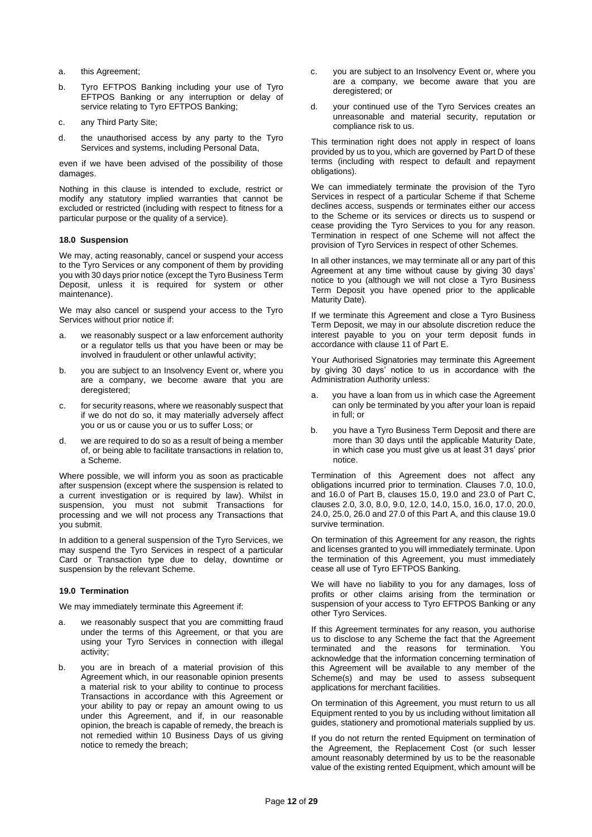- a. this Agreement;
- b. Tyro EFTPOS Banking including your use of Tyro EFTPOS Banking or any interruption or delay of service relating to Tyro EFTPOS Banking;
- c. any Third Party Site;
- d. the unauthorised access by any party to the Tyro Services and systems, including Personal Data,

even if we have been advised of the possibility of those damages.

Nothing in this clause is intended to exclude, restrict or modify any statutory implied warranties that cannot be excluded or restricted (including with respect to fitness for a particular purpose or the quality of a service).

# **18.0 Suspension**

We may, acting reasonably, cancel or suspend your access to the Tyro Services or any component of them by providing you with 30 days prior notice (except the Tyro Business Term Deposit, unless it is required for system or other maintenance).

We may also cancel or suspend your access to the Tyro Services without prior notice if:

- a. we reasonably suspect or a law enforcement authority or a regulator tells us that you have been or may be involved in fraudulent or other unlawful activity;
- b. you are subject to an Insolvency Event or, where you are a company, we become aware that you are deregistered;
- c. for security reasons, where we reasonably suspect that if we do not do so, it may materially adversely affect you or us or cause you or us to suffer Loss; or
- d. we are required to do so as a result of being a member of, or being able to facilitate transactions in relation to, a Scheme.

Where possible, we will inform you as soon as practicable after suspension (except where the suspension is related to a current investigation or is required by law). Whilst in suspension, you must not submit Transactions for processing and we will not process any Transactions that you submit.

In addition to a general suspension of the Tyro Services, we may suspend the Tyro Services in respect of a particular Card or Transaction type due to delay, downtime or suspension by the relevant Scheme.

# <span id="page-11-0"></span>**19.0 Termination**

We may immediately terminate this Agreement if:

- a. we reasonably suspect that you are committing fraud under the terms of this Agreement, or that you are using your Tyro Services in connection with illegal activity;
- b. you are in breach of a material provision of this Agreement which, in our reasonable opinion presents a material risk to your ability to continue to process Transactions in accordance with this Agreement or your ability to pay or repay an amount owing to us under this Agreement, and if, in our reasonable opinion, the breach is capable of remedy, the breach is not remedied within 10 Business Days of us giving notice to remedy the breach;
- c. you are subject to an Insolvency Event or, where you are a company, we become aware that you are deregistered; or
- d. your continued use of the Tyro Services creates an unreasonable and material security, reputation or compliance risk to us.

This termination right does not apply in respect of loans provided by us to you, which are governed by Part D of these terms (including with respect to default and repayment obligations).

We can immediately terminate the provision of the Tyro Services in respect of a particular Scheme if that Scheme declines access, suspends or terminates either our access to the Scheme or its services or directs us to suspend or cease providing the Tyro Services to you for any reason. Termination in respect of one Scheme will not affect the provision of Tyro Services in respect of other Schemes.

In all other instances, we may terminate all or any part of this Agreement at any time without cause by giving 30 days' notice to you (although we will not close a Tyro Business Term Deposit you have opened prior to the applicable Maturity Date).

If we terminate this Agreement and close a Tyro Business Term Deposit, we may in our absolute discretion reduce the interest payable to you on your term deposit funds in accordance with clause 11 of Part E.

Your Authorised Signatories may terminate this Agreement by giving 30 days' notice to us in accordance with the Administration Authority unless:

- you have a loan from us in which case the Agreement can only be terminated by you after your loan is repaid in full; or
- b. you have a Tyro Business Term Deposit and there are more than 30 days until the applicable Maturity Date, in which case you must give us at least 31 days' prior notice.

Termination of this Agreement does not affect any obligations incurred prior to termination. Clauses [7.0,](#page-17-0) [10.0,](#page-18-0) and [16.0](#page-20-0) of Part B, clauses [15.0,](#page-25-0) [19.0](#page-25-1) and [23.0](#page-27-0) of Part C, clauses [2.0,](#page-0-0) [3.0,](#page-4-0) [8.0,](#page-5-0) [9.0,](#page-6-0) [12.0,](#page-8-0) [14.0,](#page-9-0) [15.0,](#page-9-1) [16.0,](#page-10-0) [17.0,](#page-10-1) [20.0,](#page-12-0) [24.0,](#page-12-1) [25.0,](#page-12-2) [26.0](#page-12-3) and [27.0](#page-13-0) of this Part A, and this clause [19.0](#page-11-0) survive termination.

On termination of this Agreement for any reason, the rights and licenses granted to you will immediately terminate. Upon the termination of this Agreement, you must immediately cease all use of Tyro EFTPOS Banking.

We will have no liability to you for any damages, loss of profits or other claims arising from the termination or suspension of your access to Tyro EFTPOS Banking or any other Tyro Services.

If this Agreement terminates for any reason, you authorise us to disclose to any Scheme the fact that the Agreement terminated and the reasons for termination. You acknowledge that the information concerning termination of this Agreement will be available to any member of the Scheme(s) and may be used to assess subsequent applications for merchant facilities.

On termination of this Agreement, you must return to us all Equipment rented to you by us including without limitation all guides, stationery and promotional materials supplied by us.

If you do not return the rented Equipment on termination of the Agreement, the Replacement Cost (or such lesser amount reasonably determined by us to be the reasonable value of the existing rented Equipment, which amount will be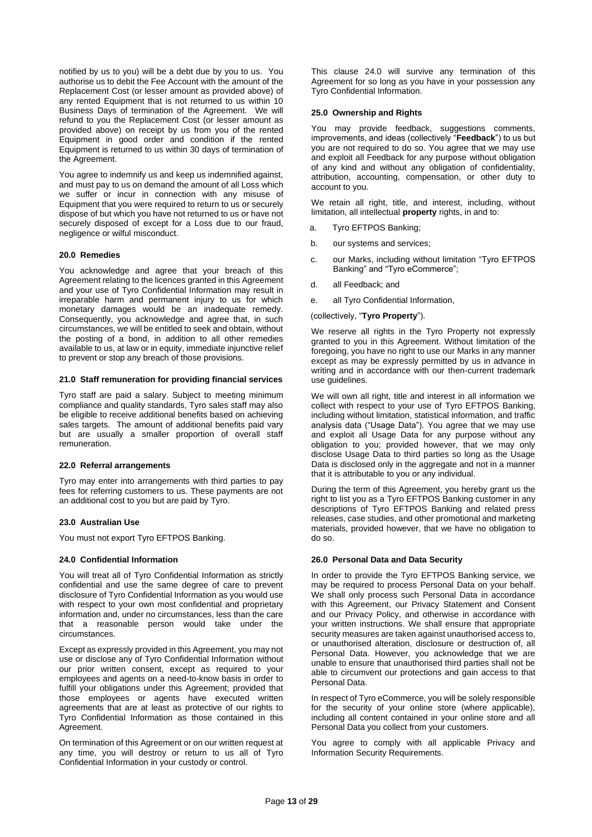notified by us to you) will be a debt due by you to us. You authorise us to debit the Fee Account with the amount of the Replacement Cost (or lesser amount as provided above) of any rented Equipment that is not returned to us within 10 Business Days of termination of the Agreement. We will refund to you the Replacement Cost (or lesser amount as provided above) on receipt by us from you of the rented Equipment in good order and condition if the rented Equipment is returned to us within 30 days of termination of the Agreement.

You agree to indemnify us and keep us indemnified against, and must pay to us on demand the amount of all Loss which we suffer or incur in connection with any misuse of Equipment that you were required to return to us or securely dispose of but which you have not returned to us or have not securely disposed of except for a Loss due to our fraud, negligence or wilful misconduct.

# <span id="page-12-0"></span>**20.0 Remedies**

You acknowledge and agree that your breach of this Agreement relating to the licences granted in this Agreement and your use of Tyro Confidential Information may result in irreparable harm and permanent injury to us for which monetary damages would be an inadequate remedy. Consequently, you acknowledge and agree that, in such circumstances, we will be entitled to seek and obtain, without the posting of a bond, in addition to all other remedies available to us, at law or in equity, immediate injunctive relief to prevent or stop any breach of those provisions.

# **21.0 Staff remuneration for providing financial services**

Tyro staff are paid a salary. Subject to meeting minimum compliance and quality standards, Tyro sales staff may also be eligible to receive additional benefits based on achieving sales targets. The amount of additional benefits paid vary but are usually a smaller proportion of overall staff remuneration.

#### **22.0 Referral arrangements**

Tyro may enter into arrangements with third parties to pay fees for referring customers to us. These payments are not an additional cost to you but are paid by Tyro.

## **23.0 Australian Use**

You must not export Tyro EFTPOS Banking.

#### <span id="page-12-1"></span>**24.0 Confidential Information**

You will treat all of Tyro Confidential Information as strictly confidential and use the same degree of care to prevent disclosure of Tyro Confidential Information as you would use with respect to your own most confidential and proprietary information and, under no circumstances, less than the care that a reasonable person would take under the circumstances.

Except as expressly provided in this Agreement, you may not use or disclose any of Tyro Confidential Information without our prior written consent, except as required to your employees and agents on a need-to-know basis in order to fulfill your obligations under this Agreement; provided that those employees or agents have executed written agreements that are at least as protective of our rights to Tyro Confidential Information as those contained in this Agreement.

On termination of this Agreement or on our written request at any time, you will destroy or return to us all of Tyro Confidential Information in your custody or control.

This clause [24.0](#page-12-1) will survive any termination of this Agreement for so long as you have in your possession any Tyro Confidential Information.

#### <span id="page-12-2"></span>**25.0 Ownership and Rights**

You may provide feedback, suggestions comments, improvements, and ideas (collectively "**Feedback**") to us but you are not required to do so. You agree that we may use and exploit all Feedback for any purpose without obligation of any kind and without any obligation of confidentiality, attribution, accounting, compensation, or other duty to account to you.

We retain all right, title, and interest, including, without limitation, all intellectual **property** rights, in and to:

- a. Tyro EFTPOS Banking;
- b. our systems and services;
- c. our Marks, including without limitation "Tyro EFTPOS Banking" and "Tyro eCommerce";
- d. all Feedback; and
- e. all Tyro Confidential Information,

#### (collectively, "**Tyro Property**").

We reserve all rights in the Tyro Property not expressly granted to you in this Agreement. Without limitation of the foregoing, you have no right to use our Marks in any manner except as may be expressly permitted by us in advance in writing and in accordance with our then-current trademark use guidelines.

We will own all right, title and interest in all information we collect with respect to your use of Tyro EFTPOS Banking, including without limitation, statistical information, and traffic analysis data ("Usage Data"). You agree that we may use and exploit all Usage Data for any purpose without any obligation to you; provided however, that we may only disclose Usage Data to third parties so long as the Usage Data is disclosed only in the aggregate and not in a manner that it is attributable to you or any individual.

During the term of this Agreement, you hereby grant us the right to list you as a Tyro EFTPOS Banking customer in any descriptions of Tyro EFTPOS Banking and related press releases, case studies, and other promotional and marketing materials, provided however, that we have no obligation to do so.

#### <span id="page-12-3"></span>**26.0 Personal Data and Data Security**

In order to provide the Tyro EFTPOS Banking service, we may be required to process Personal Data on your behalf. We shall only process such Personal Data in accordance with this Agreement, our Privacy Statement and Consent and our Privacy Policy, and otherwise in accordance with your written instructions. We shall ensure that appropriate security measures are taken against unauthorised access to, or unauthorised alteration, disclosure or destruction of, all Personal Data. However, you acknowledge that we are unable to ensure that unauthorised third parties shall not be able to circumvent our protections and gain access to that Personal Data.

In respect of Tyro eCommerce, you will be solely responsible for the security of your online store (where applicable), including all content contained in your online store and all Personal Data you collect from your customers.

You agree to comply with all applicable Privacy and Information Security Requirements.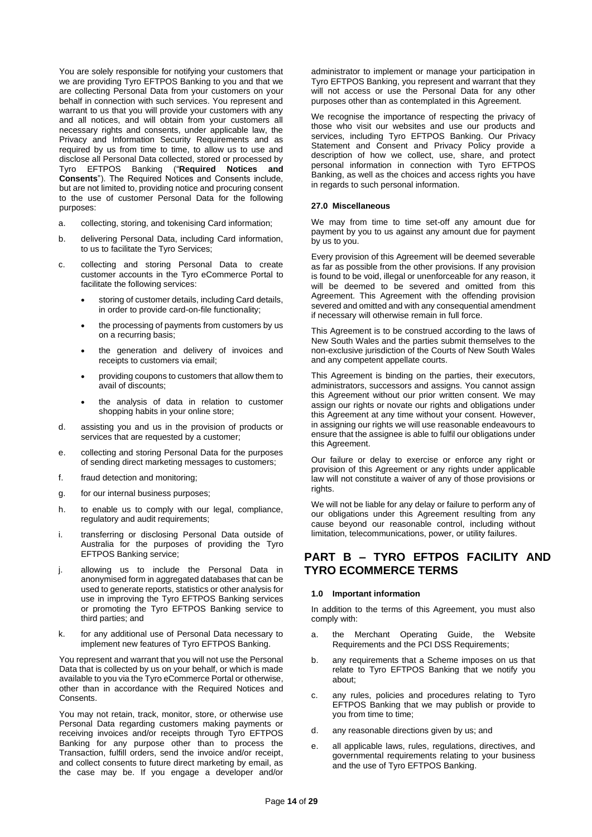You are solely responsible for notifying your customers that we are providing Tyro EFTPOS Banking to you and that we are collecting Personal Data from your customers on your behalf in connection with such services. You represent and warrant to us that you will provide your customers with any and all notices, and will obtain from your customers all necessary rights and consents, under applicable law, the Privacy and Information Security Requirements and as required by us from time to time, to allow us to use and disclose all Personal Data collected, stored or processed by Tyro EFTPOS Banking ("**Required Notices and Consents**"). The Required Notices and Consents include, but are not limited to, providing notice and procuring consent to the use of customer Personal Data for the following purposes:

- a. collecting, storing, and tokenising Card information;
- b. delivering Personal Data, including Card information, to us to facilitate the Tyro Services;
- c. collecting and storing Personal Data to create customer accounts in the Tyro eCommerce Portal to facilitate the following services:
	- storing of customer details, including Card details, in order to provide card-on-file functionality;
	- the processing of payments from customers by us on a recurring basis;
	- the generation and delivery of invoices and receipts to customers via email;
	- providing coupons to customers that allow them to avail of discounts;
	- the analysis of data in relation to customer shopping habits in your online store;
- d. assisting you and us in the provision of products or services that are requested by a customer;
- e. collecting and storing Personal Data for the purposes of sending direct marketing messages to customers;
- f. fraud detection and monitoring;
- g. for our internal business purposes;
- h. to enable us to comply with our legal, compliance, regulatory and audit requirements;
- i. transferring or disclosing Personal Data outside of Australia for the purposes of providing the Tyro EFTPOS Banking service;
- j. allowing us to include the Personal Data in anonymised form in aggregated databases that can be used to generate reports, statistics or other analysis for use in improving the Tyro EFTPOS Banking services or promoting the Tyro EFTPOS Banking service to third parties; and
- k. for any additional use of Personal Data necessary to implement new features of Tyro EFTPOS Banking.

You represent and warrant that you will not use the Personal Data that is collected by us on your behalf, or which is made available to you via the Tyro eCommerce Portal or otherwise, other than in accordance with the Required Notices and Consents.

You may not retain, track, monitor, store, or otherwise use Personal Data regarding customers making payments or receiving invoices and/or receipts through Tyro EFTPOS Banking for any purpose other than to process the Transaction, fulfill orders, send the invoice and/or receipt, and collect consents to future direct marketing by email, as the case may be. If you engage a developer and/or administrator to implement or manage your participation in Tyro EFTPOS Banking, you represent and warrant that they will not access or use the Personal Data for any other purposes other than as contemplated in this Agreement.

We recognise the importance of respecting the privacy of those who visit our websites and use our products and services, including Tyro EFTPOS Banking. Our Privacy Statement and Consent and Privacy Policy provide a description of how we collect, use, share, and protect personal information in connection with Tyro EFTPOS Banking, as well as the choices and access rights you have in regards to such personal information.

#### <span id="page-13-0"></span>**27.0 Miscellaneous**

We may from time to time set-off any amount due for payment by you to us against any amount due for payment by us to you.

Every provision of this Agreement will be deemed severable as far as possible from the other provisions. If any provision is found to be void, illegal or unenforceable for any reason, it will be deemed to be severed and omitted from this Agreement. This Agreement with the offending provision severed and omitted and with any consequential amendment if necessary will otherwise remain in full force.

This Agreement is to be construed according to the laws of New South Wales and the parties submit themselves to the non-exclusive jurisdiction of the Courts of New South Wales and any competent appellate courts.

This Agreement is binding on the parties, their executors, administrators, successors and assigns. You cannot assign this Agreement without our prior written consent. We may assign our rights or novate our rights and obligations under this Agreement at any time without your consent. However, in assigning our rights we will use reasonable endeavours to ensure that the assignee is able to fulfil our obligations under this Agreement.

Our failure or delay to exercise or enforce any right or provision of this Agreement or any rights under applicable law will not constitute a waiver of any of those provisions or rights.

We will not be liable for any delay or failure to perform any of our obligations under this Agreement resulting from any cause beyond our reasonable control, including without limitation, telecommunications, power, or utility failures.

# **PART B – TYRO EFTPOS FACILITY AND TYRO ECOMMERCE TERMS**

#### **1.0 Important information**

In addition to the terms of this Agreement, you must also comply with:

- a. the Merchant Operating Guide, the Website Requirements and the PCI DSS Requirements;
- b. any requirements that a Scheme imposes on us that relate to Tyro EFTPOS Banking that we notify you about;
- c. any rules, policies and procedures relating to Tyro EFTPOS Banking that we may publish or provide to you from time to time;
- d. any reasonable directions given by us; and
- e. all applicable laws, rules, regulations, directives, and governmental requirements relating to your business and the use of Tyro EFTPOS Banking.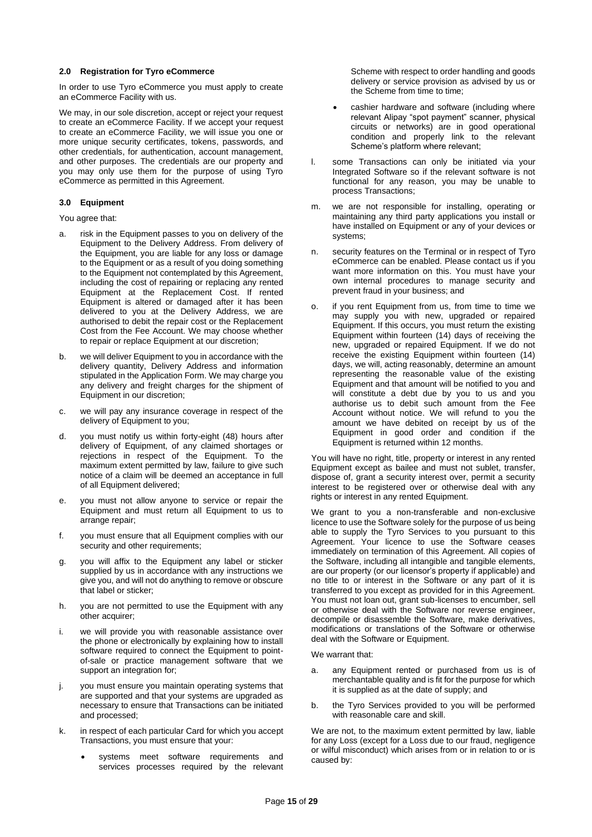## **2.0 Registration for Tyro eCommerce**

In order to use Tyro eCommerce you must apply to create an eCommerce Facility with us.

We may, in our sole discretion, accept or reject your request to create an eCommerce Facility. If we accept your request to create an eCommerce Facility, we will issue you one or more unique security certificates, tokens, passwords, and other credentials, for authentication, account management, and other purposes. The credentials are our property and you may only use them for the purpose of using Tyro eCommerce as permitted in this Agreement.

# <span id="page-14-0"></span>**3.0 Equipment**

You agree that:

- a. risk in the Equipment passes to you on delivery of the Equipment to the Delivery Address. From delivery of the Equipment, you are liable for any loss or damage to the Equipment or as a result of you doing something to the Equipment not contemplated by this Agreement, including the cost of repairing or replacing any rented Equipment at the Replacement Cost. If rented Equipment is altered or damaged after it has been delivered to you at the Delivery Address, we are authorised to debit the repair cost or the Replacement Cost from the Fee Account. We may choose whether to repair or replace Equipment at our discretion;
- b. we will deliver Equipment to you in accordance with the delivery quantity, Delivery Address and information stipulated in the Application Form. We may charge you any delivery and freight charges for the shipment of Equipment in our discretion;
- c. we will pay any insurance coverage in respect of the delivery of Equipment to you;
- d. you must notify us within forty-eight (48) hours after delivery of Equipment, of any claimed shortages or rejections in respect of the Equipment. To the maximum extent permitted by law, failure to give such notice of a claim will be deemed an acceptance in full of all Equipment delivered;
- e. you must not allow anyone to service or repair the Equipment and must return all Equipment to us to arrange repair;
- f. you must ensure that all Equipment complies with our security and other requirements;
- g. you will affix to the Equipment any label or sticker supplied by us in accordance with any instructions we give you, and will not do anything to remove or obscure that label or sticker;
- h. you are not permitted to use the Equipment with any other acquirer;
- i. we will provide you with reasonable assistance over the phone or electronically by explaining how to install software required to connect the Equipment to pointof-sale or practice management software that we support an integration for;
- j. you must ensure you maintain operating systems that are supported and that your systems are upgraded as necessary to ensure that Transactions can be initiated and processed;
- k. in respect of each particular Card for which you accept Transactions, you must ensure that your:
	- systems meet software requirements and services processes required by the relevant

Scheme with respect to order handling and goods delivery or service provision as advised by us or the Scheme from time to time;

- cashier hardware and software (including where relevant Alipay "spot payment" scanner, physical circuits or networks) are in good operational condition and properly link to the relevant Scheme's platform where relevant;
- l. some Transactions can only be initiated via your Integrated Software so if the relevant software is not functional for any reason, you may be unable to process Transactions;
- m. we are not responsible for installing, operating or maintaining any third party applications you install or have installed on Equipment or any of your devices or systems;
- n. security features on the Terminal or in respect of Tyro eCommerce can be enabled. Please contact us if you want more information on this. You must have your own internal procedures to manage security and prevent fraud in your business; and
- if you rent Equipment from us, from time to time we may supply you with new, upgraded or repaired Equipment. If this occurs, you must return the existing Equipment within fourteen (14) days of receiving the new, upgraded or repaired Equipment. If we do not receive the existing Equipment within fourteen (14) days, we will, acting reasonably, determine an amount representing the reasonable value of the existing Equipment and that amount will be notified to you and will constitute a debt due by you to us and you authorise us to debit such amount from the Fee Account without notice. We will refund to you the amount we have debited on receipt by us of the Equipment in good order and condition if the Equipment is returned within 12 months.

You will have no right, title, property or interest in any rented Equipment except as bailee and must not sublet, transfer, dispose of, grant a security interest over, permit a security interest to be registered over or otherwise deal with any rights or interest in any rented Equipment.

We grant to you a non-transferable and non-exclusive licence to use the Software solely for the purpose of us being able to supply the Tyro Services to you pursuant to this Agreement. Your licence to use the Software ceases immediately on termination of this Agreement. All copies of the Software, including all intangible and tangible elements, are our property (or our licensor's property if applicable) and no title to or interest in the Software or any part of it is transferred to you except as provided for in this Agreement. You must not loan out, grant sub-licenses to encumber, sell or otherwise deal with the Software nor reverse engineer, decompile or disassemble the Software, make derivatives, modifications or translations of the Software or otherwise deal with the Software or Equipment.

We warrant that:

- a. any Equipment rented or purchased from us is of merchantable quality and is fit for the purpose for which it is supplied as at the date of supply; and
- b. the Tyro Services provided to you will be performed with reasonable care and skill.

We are not, to the maximum extent permitted by law, liable for any Loss (except for a Loss due to our fraud, negligence or wilful misconduct) which arises from or in relation to or is caused by: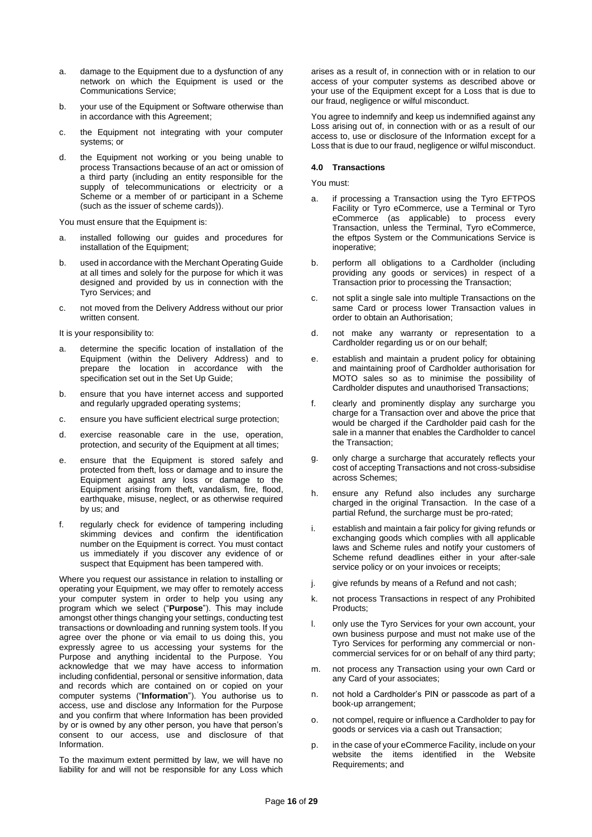- a. damage to the Equipment due to a dysfunction of any network on which the Equipment is used or the Communications Service;
- b. your use of the Equipment or Software otherwise than in accordance with this Agreement;
- c. the Equipment not integrating with your computer systems; or
- d. the Equipment not working or you being unable to process Transactions because of an act or omission of a third party (including an entity responsible for the supply of telecommunications or electricity or a Scheme or a member of or participant in a Scheme (such as the issuer of scheme cards)).

You must ensure that the Equipment is:

- a. installed following our guides and procedures for installation of the Equipment;
- b. used in accordance with the Merchant Operating Guide at all times and solely for the purpose for which it was designed and provided by us in connection with the Tyro Services; and
- c. not moved from the Delivery Address without our prior written consent.

It is your responsibility to:

- a. determine the specific location of installation of the Equipment (within the Delivery Address) and to prepare the location in accordance with the specification set out in the Set Up Guide;
- b. ensure that you have internet access and supported and regularly upgraded operating systems;
- c. ensure you have sufficient electrical surge protection;
- d. exercise reasonable care in the use, operation, protection, and security of the Equipment at all times;
- e. ensure that the Equipment is stored safely and protected from theft, loss or damage and to insure the Equipment against any loss or damage to the Equipment arising from theft, vandalism, fire, flood, earthquake, misuse, neglect, or as otherwise required by us; and
- f. regularly check for evidence of tampering including skimming devices and confirm the identification number on the Equipment is correct. You must contact us immediately if you discover any evidence of or suspect that Equipment has been tampered with.

Where you request our assistance in relation to installing or operating your Equipment, we may offer to remotely access your computer system in order to help you using any program which we select ("**Purpose**"). This may include amongst other things changing your settings, conducting test transactions or downloading and running system tools. If you agree over the phone or via email to us doing this, you expressly agree to us accessing your systems for the Purpose and anything incidental to the Purpose. You acknowledge that we may have access to information including confidential, personal or sensitive information, data and records which are contained on or copied on your computer systems ("**Information**"). You authorise us to access, use and disclose any Information for the Purpose and you confirm that where Information has been provided by or is owned by any other person, you have that person's consent to our access, use and disclosure of that Information.

To the maximum extent permitted by law, we will have no liability for and will not be responsible for any Loss which

arises as a result of, in connection with or in relation to our access of your computer systems as described above or your use of the Equipment except for a Loss that is due to our fraud, negligence or wilful misconduct.

You agree to indemnify and keep us indemnified against any Loss arising out of, in connection with or as a result of our access to, use or disclosure of the Information except for a Loss that is due to our fraud, negligence or wilful misconduct.

# **4.0 Transactions**

You must:

- a. if processing a Transaction using the Tyro EFTPOS Facility or Tyro eCommerce, use a Terminal or Tyro eCommerce (as applicable) to process every Transaction, unless the Terminal, Tyro eCommerce, the eftpos System or the Communications Service is inoperative;
- b. perform all obligations to a Cardholder (including providing any goods or services) in respect of a Transaction prior to processing the Transaction;
- c. not split a single sale into multiple Transactions on the same Card or process lower Transaction values in order to obtain an Authorisation;
- d. not make any warranty or representation to a Cardholder regarding us or on our behalf;
- e. establish and maintain a prudent policy for obtaining and maintaining proof of Cardholder authorisation for MOTO sales so as to minimise the possibility of Cardholder disputes and unauthorised Transactions;
- f. clearly and prominently display any surcharge you charge for a Transaction over and above the price that would be charged if the Cardholder paid cash for the sale in a manner that enables the Cardholder to cancel the Transaction;
- g. only charge a surcharge that accurately reflects your cost of accepting Transactions and not cross-subsidise across Schemes;
- h. ensure any Refund also includes any surcharge charged in the original Transaction. In the case of a partial Refund, the surcharge must be pro-rated;
- i. establish and maintain a fair policy for giving refunds or exchanging goods which complies with all applicable laws and Scheme rules and notify your customers of Scheme refund deadlines either in your after-sale service policy or on your invoices or receipts;
- j. give refunds by means of a Refund and not cash;
- k. not process Transactions in respect of any Prohibited Products;
- l. only use the Tyro Services for your own account, your own business purpose and must not make use of the Tyro Services for performing any commercial or noncommercial services for or on behalf of any third party;
- m. not process any Transaction using your own Card or any Card of your associates;
- n. not hold a Cardholder's PIN or passcode as part of a book-up arrangement;
- o. not compel, require or influence a Cardholder to pay for goods or services via a cash out Transaction;
- p. in the case of your eCommerce Facility, include on your website the items identified in the Website Requirements; and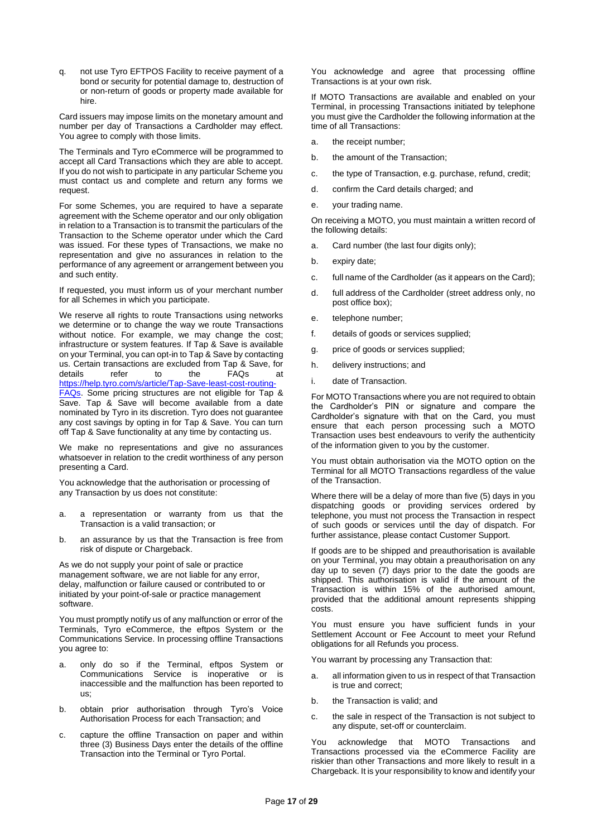q. not use Tyro EFTPOS Facility to receive payment of a bond or security for potential damage to, destruction of or non-return of goods or property made available for hire.

Card issuers may impose limits on the monetary amount and number per day of Transactions a Cardholder may effect. You agree to comply with those limits.

The Terminals and Tyro eCommerce will be programmed to accept all Card Transactions which they are able to accept. If you do not wish to participate in any particular Scheme you must contact us and complete and return any forms we request.

For some Schemes, you are required to have a separate agreement with the Scheme operator and our only obligation in relation to a Transaction is to transmit the particulars of the Transaction to the Scheme operator under which the Card was issued. For these types of Transactions, we make no representation and give no assurances in relation to the performance of any agreement or arrangement between you and such entity.

If requested, you must inform us of your merchant number for all Schemes in which you participate.

We reserve all rights to route Transactions using networks we determine or to change the way we route Transactions without notice. For example, we may change the cost; infrastructure or system features. If Tap & Save is available on your Terminal, you can opt-in to Tap & Save by contacting us. Certain transactions are excluded from Tap & Save, for details refer to the FAQs at [https://help.tyro.com/s/article/Tap-Save-least-cost-routing-](https://help.tyro.com/s/article/Tap-Save-least-cost-routing-FAQs)[FAQs.](https://help.tyro.com/s/article/Tap-Save-least-cost-routing-FAQs) Some pricing structures are not eligible for Tap & Save. Tap & Save will become available from a date nominated by Tyro in its discretion. Tyro does not guarantee any cost savings by opting in for Tap & Save. You can turn off Tap & Save functionality at any time by contacting us.

We make no representations and give no assurances whatsoever in relation to the credit worthiness of any person presenting a Card.

You acknowledge that the authorisation or processing of any Transaction by us does not constitute:

- a. a representation or warranty from us that the Transaction is a valid transaction; or
- b. an assurance by us that the Transaction is free from risk of dispute or Chargeback.

As we do not supply your point of sale or practice management software, we are not liable for any error, delay, malfunction or failure caused or contributed to or initiated by your point-of-sale or practice management software.

You must promptly notify us of any malfunction or error of the Terminals, Tyro eCommerce, the eftpos System or the Communications Service. In processing offline Transactions you agree to:

- a. only do so if the Terminal, eftpos System or Communications Service is inoperative or is inaccessible and the malfunction has been reported to us;
- b. obtain prior authorisation through Tyro's Voice Authorisation Process for each Transaction; and
- c. capture the offline Transaction on paper and within three (3) Business Days enter the details of the offline Transaction into the Terminal or Tyro Portal.

You acknowledge and agree that processing offline Transactions is at your own risk.

If MOTO Transactions are available and enabled on your Terminal, in processing Transactions initiated by telephone you must give the Cardholder the following information at the time of all Transactions:

- a. the receipt number;
- b. the amount of the Transaction;
- c. the type of Transaction, e.g. purchase, refund, credit;
- d. confirm the Card details charged; and
- e. your trading name.

On receiving a MOTO, you must maintain a written record of the following details:

- a. Card number (the last four digits only);
- b. expiry date;
- c. full name of the Cardholder (as it appears on the Card);
- d. full address of the Cardholder (street address only, no post office box);
- e. telephone number;
- f. details of goods or services supplied;
- g. price of goods or services supplied;
- h. delivery instructions; and
- i. date of Transaction.

For MOTO Transactions where you are not required to obtain the Cardholder's PIN or signature and compare the Cardholder's signature with that on the Card, you must ensure that each person processing such a MOTO Transaction uses best endeavours to verify the authenticity of the information given to you by the customer.

You must obtain authorisation via the MOTO option on the Terminal for all MOTO Transactions regardless of the value of the Transaction.

Where there will be a delay of more than five (5) days in you dispatching goods or providing services ordered by telephone, you must not process the Transaction in respect of such goods or services until the day of dispatch. For further assistance, please contact Customer Support.

If goods are to be shipped and preauthorisation is available on your Terminal, you may obtain a preauthorisation on any day up to seven (7) days prior to the date the goods are shipped. This authorisation is valid if the amount of the Transaction is within 15% of the authorised amount, provided that the additional amount represents shipping costs.

You must ensure you have sufficient funds in your Settlement Account or Fee Account to meet your Refund obligations for all Refunds you process.

You warrant by processing any Transaction that:

- a. all information given to us in respect of that Transaction is true and correct;
- b. the Transaction is valid; and
- c. the sale in respect of the Transaction is not subject to any dispute, set-off or counterclaim.

You acknowledge that MOTO Transactions and Transactions processed via the eCommerce Facility are riskier than other Transactions and more likely to result in a Chargeback. It is your responsibility to know and identify your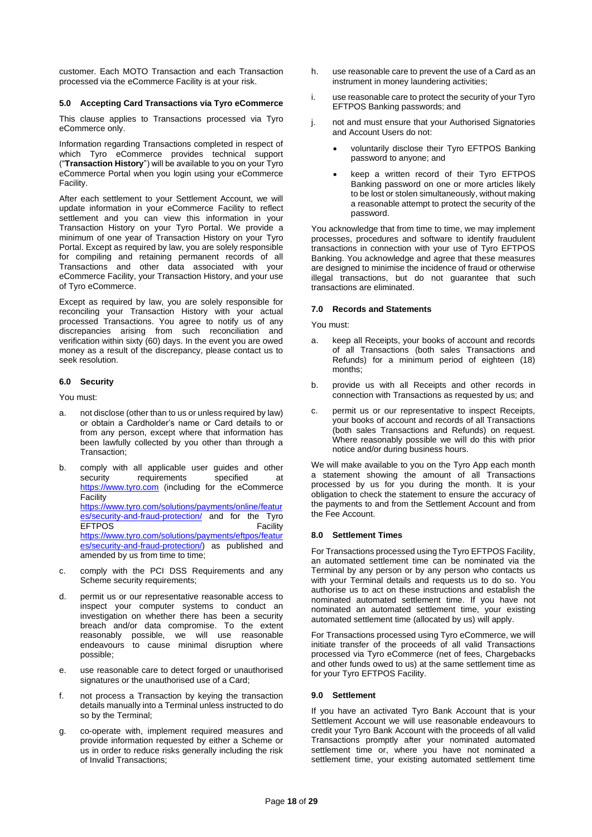customer. Each MOTO Transaction and each Transaction processed via the eCommerce Facility is at your risk.

# **5.0 Accepting Card Transactions via Tyro eCommerce**

This clause applies to Transactions processed via Tyro eCommerce only.

Information regarding Transactions completed in respect of which Tyro eCommerce provides technical support ("**Transaction History**") will be available to you on your Tyro eCommerce Portal when you login using your eCommerce Facility.

After each settlement to your Settlement Account, we will update information in your eCommerce Facility to reflect settlement and you can view this information in your Transaction History on your Tyro Portal. We provide a minimum of one year of Transaction History on your Tyro Portal. Except as required by law, you are solely responsible for compiling and retaining permanent records of all Transactions and other data associated with your eCommerce Facility, your Transaction History, and your use of Tyro eCommerce.

Except as required by law, you are solely responsible for reconciling your Transaction History with your actual processed Transactions. You agree to notify us of any discrepancies arising from such reconciliation and verification within sixty (60) days. In the event you are owed money as a result of the discrepancy, please contact us to seek resolution.

# **6.0 Security**

You must:

- a. not disclose (other than to us or unless required by law) or obtain a Cardholder's name or Card details to or from any person, except where that information has been lawfully collected by you other than through a Transaction;
- b. comply with all applicable user guides and other<br>security requirements specified at security requirements specified at [https://www.tyro.com](https://www.tyro.com/) (including for the eCommerce **Facility** [https://www.tyro.com/solutions/payments/online/featur](https://www.tyro.com/solutions/payments/online/features/security-and-fraud-protection/) [es/security-and-fraud-protection/](https://www.tyro.com/solutions/payments/online/features/security-and-fraud-protection/) and for the Tyro EFTPOS Facility [https://www.tyro.com/solutions/payments/eftpos/featur](https://www.tyro.com/solutions/payments/eftpos/features/security-and-fraud-protection/) [es/security-and-fraud-protection/\)](https://www.tyro.com/solutions/payments/eftpos/features/security-and-fraud-protection/) as published and amended by us from time to time;
- c. comply with the PCI DSS Requirements and any Scheme security requirements;
- d. permit us or our representative reasonable access to inspect your computer systems to conduct an investigation on whether there has been a security breach and/or data compromise. To the extent reasonably possible, we will use reasonable endeavours to cause minimal disruption where possible;
- e. use reasonable care to detect forged or unauthorised signatures or the unauthorised use of a Card;
- f. not process a Transaction by keying the transaction details manually into a Terminal unless instructed to do so by the Terminal;
- g. co-operate with, implement required measures and provide information requested by either a Scheme or us in order to reduce risks generally including the risk of Invalid Transactions;
- h. use reasonable care to prevent the use of a Card as an instrument in money laundering activities;
- i. use reasonable care to protect the security of your Tyro EFTPOS Banking passwords; and
- j. not and must ensure that your Authorised Signatories and Account Users do not:
	- voluntarily disclose their Tyro EFTPOS Banking password to anyone; and
	- keep a written record of their Tyro EFTPOS Banking password on one or more articles likely to be lost or stolen simultaneously, without making a reasonable attempt to protect the security of the password.

You acknowledge that from time to time, we may implement processes, procedures and software to identify fraudulent transactions in connection with your use of Tyro EFTPOS Banking. You acknowledge and agree that these measures are designed to minimise the incidence of fraud or otherwise illegal transactions, but do not guarantee that such transactions are eliminated.

# <span id="page-17-0"></span>**7.0 Records and Statements**

You must:

- a. keep all Receipts, your books of account and records of all Transactions (both sales Transactions and Refunds) for a minimum period of eighteen (18) months;
- b. provide us with all Receipts and other records in connection with Transactions as requested by us; and
- c. permit us or our representative to inspect Receipts, your books of account and records of all Transactions (both sales Transactions and Refunds) on request. Where reasonably possible we will do this with prior notice and/or during business hours.

We will make available to you on the Tyro App each month a statement showing the amount of all Transactions processed by us for you during the month. It is your obligation to check the statement to ensure the accuracy of the payments to and from the Settlement Account and from the Fee Account.

#### **8.0 Settlement Times**

For Transactions processed using the Tyro EFTPOS Facility, an automated settlement time can be nominated via the Terminal by any person or by any person who contacts us with your Terminal details and requests us to do so. You authorise us to act on these instructions and establish the nominated automated settlement time. If you have not nominated an automated settlement time, your existing automated settlement time (allocated by us) will apply.

For Transactions processed using Tyro eCommerce, we will initiate transfer of the proceeds of all valid Transactions processed via Tyro eCommerce (net of fees, Chargebacks and other funds owed to us) at the same settlement time as for your Tyro EFTPOS Facility.

# **9.0 Settlement**

If you have an activated Tyro Bank Account that is your Settlement Account we will use reasonable endeavours to credit your Tyro Bank Account with the proceeds of all valid Transactions promptly after your nominated automated settlement time or, where you have not nominated a settlement time, your existing automated settlement time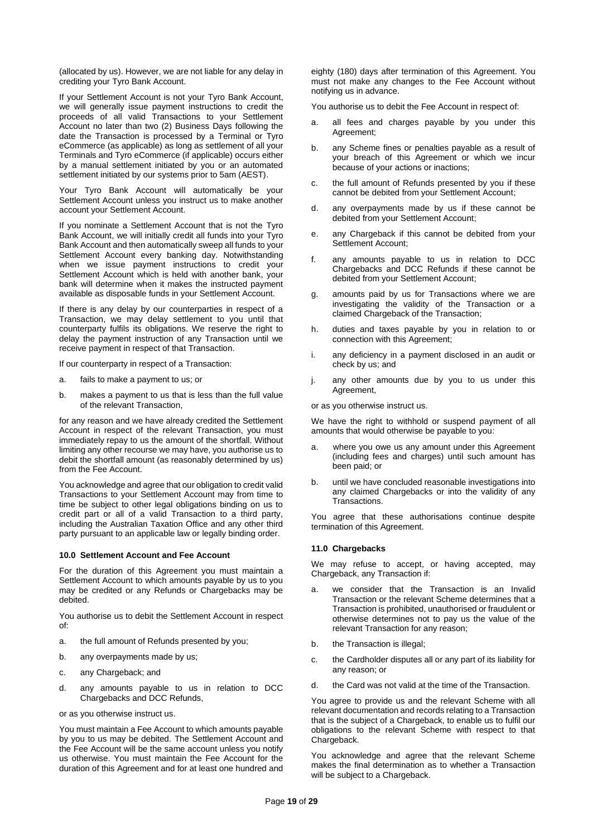(allocated by us). However, we are not liable for any delay in crediting your Tyro Bank Account.

If your Settlement Account is not your Tyro Bank Account, we will generally issue payment instructions to credit the proceeds of all valid Transactions to your Settlement Account no later than two (2) Business Days following the date the Transaction is processed by a Terminal or Tyro eCommerce (as applicable) as long as settlement of all your Terminals and Tyro eCommerce (if applicable) occurs either by a manual settlement initiated by you or an automated settlement initiated by our systems prior to 5am (AEST).

Your Tyro Bank Account will automatically be your Settlement Account unless you instruct us to make another account your Settlement Account.

If you nominate a Settlement Account that is not the Tyro Bank Account, we will initially credit all funds into your Tyro Bank Account and then automatically sweep all funds to your Settlement Account every banking day. Notwithstanding when we issue payment instructions to credit your Settlement Account which is held with another bank, your bank will determine when it makes the instructed payment available as disposable funds in your Settlement Account.

If there is any delay by our counterparties in respect of a Transaction, we may delay settlement to you until that counterparty fulfils its obligations. We reserve the right to delay the payment instruction of any Transaction until we receive payment in respect of that Transaction.

If our counterparty in respect of a Transaction:

- a. fails to make a payment to us; or
- b. makes a payment to us that is less than the full value of the relevant Transaction,

for any reason and we have already credited the Settlement Account in respect of the relevant Transaction, you must immediately repay to us the amount of the shortfall. Without limiting any other recourse we may have, you authorise us to debit the shortfall amount (as reasonably determined by us) from the Fee Account.

You acknowledge and agree that our obligation to credit valid Transactions to your Settlement Account may from time to time be subject to other legal obligations binding on us to credit part or all of a valid Transaction to a third party, including the Australian Taxation Office and any other third party pursuant to an applicable law or legally binding order.

#### <span id="page-18-0"></span>**10.0 Settlement Account and Fee Account**

For the duration of this Agreement you must maintain a Settlement Account to which amounts payable by us to you may be credited or any Refunds or Chargebacks may be debited.

You authorise us to debit the Settlement Account in respect of:

- a. the full amount of Refunds presented by you;
- b. any overpayments made by us;
- c. any Chargeback; and
- d. any amounts payable to us in relation to DCC Chargebacks and DCC Refunds,

or as you otherwise instruct us.

You must maintain a Fee Account to which amounts payable by you to us may be debited. The Settlement Account and the Fee Account will be the same account unless you notify us otherwise. You must maintain the Fee Account for the duration of this Agreement and for at least one hundred and

eighty (180) days after termination of this Agreement. You must not make any changes to the Fee Account without notifying us in advance.

You authorise us to debit the Fee Account in respect of:

- a. all fees and charges payable by you under this Agreement:
- b. any Scheme fines or penalties payable as a result of your breach of this Agreement or which we incur because of your actions or inactions;
- c. the full amount of Refunds presented by you if these cannot be debited from your Settlement Account;
- d. any overpayments made by us if these cannot be debited from your Settlement Account;
- e. any Chargeback if this cannot be debited from your Settlement Account;
- f. any amounts payable to us in relation to DCC Chargebacks and DCC Refunds if these cannot be debited from your Settlement Account;
- g. amounts paid by us for Transactions where we are investigating the validity of the Transaction or a claimed Chargeback of the Transaction;
- h. duties and taxes payable by you in relation to or connection with this Agreement;
- i. any deficiency in a payment disclosed in an audit or check by us; and
- j. any other amounts due by you to us under this Agreement,

or as you otherwise instruct us.

We have the right to withhold or suspend payment of all amounts that would otherwise be payable to you:

- a. where you owe us any amount under this Agreement (including fees and charges) until such amount has been paid; or
- b. until we have concluded reasonable investigations into any claimed Chargebacks or into the validity of any Transactions.

You agree that these authorisations continue despite termination of this Agreement.

#### <span id="page-18-1"></span>**11.0 Chargebacks**

We may refuse to accept, or having accepted, may Chargeback, any Transaction if:

- we consider that the Transaction is an Invalid Transaction or the relevant Scheme determines that a Transaction is prohibited, unauthorised or fraudulent or otherwise determines not to pay us the value of the relevant Transaction for any reason;
- b. the Transaction is illegal;
- c. the Cardholder disputes all or any part of its liability for any reason; or
- d. the Card was not valid at the time of the Transaction.

You agree to provide us and the relevant Scheme with all relevant documentation and records relating to a Transaction that is the subject of a Chargeback, to enable us to fulfil our obligations to the relevant Scheme with respect to that Chargeback.

You acknowledge and agree that the relevant Scheme makes the final determination as to whether a Transaction will be subject to a Chargeback.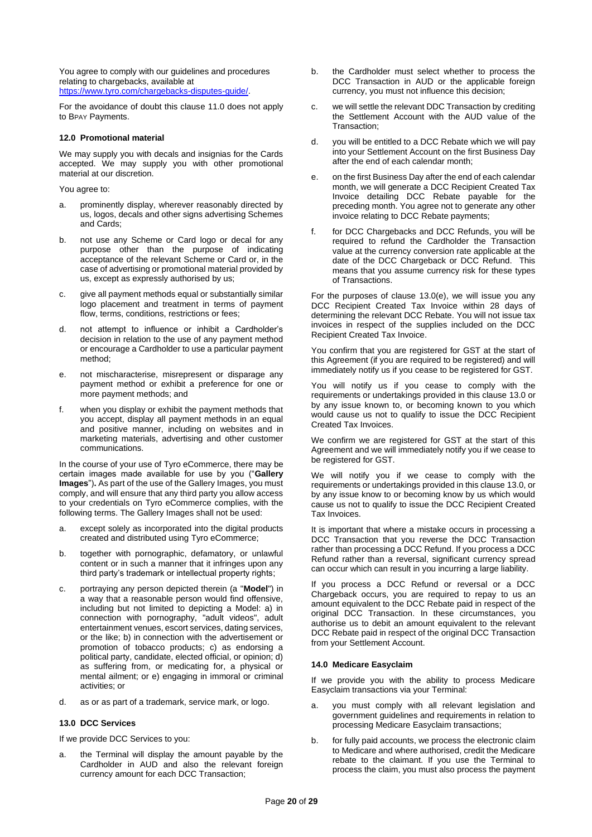You agree to comply with our guidelines and procedures relating to chargebacks, available at [https://www.tyro.com/chargebacks-disputes-guide/.](https://www.tyro.com/chargebacks-disputes-guide/)

For the avoidance of doubt this clause [11.0](#page-18-1) does not apply to BPAY Payments.

# **12.0 Promotional material**

We may supply you with decals and insignias for the Cards accepted. We may supply you with other promotional material at our discretion.

You agree to:

- a. prominently display, wherever reasonably directed by us, logos, decals and other signs advertising Schemes and Cards;
- b. not use any Scheme or Card logo or decal for any purpose other than the purpose of indicating acceptance of the relevant Scheme or Card or, in the case of advertising or promotional material provided by us, except as expressly authorised by us;
- c. give all payment methods equal or substantially similar logo placement and treatment in terms of payment flow, terms, conditions, restrictions or fees;
- d. not attempt to influence or inhibit a Cardholder's decision in relation to the use of any payment method or encourage a Cardholder to use a particular payment method;
- e. not mischaracterise, misrepresent or disparage any payment method or exhibit a preference for one or more payment methods; and
- f. when you display or exhibit the payment methods that you accept, display all payment methods in an equal and positive manner, including on websites and in marketing materials, advertising and other customer communications.

In the course of your use of Tyro eCommerce, there may be certain images made available for use by you ("**Gallery Images**")**.** As part of the use of the Gallery Images, you must comply, and will ensure that any third party you allow access to your credentials on Tyro eCommerce complies, with the following terms. The Gallery Images shall not be used:

- a. except solely as incorporated into the digital products created and distributed using Tyro eCommerce;
- b. together with pornographic, defamatory, or unlawful content or in such a manner that it infringes upon any third party's trademark or intellectual property rights;
- c. portraying any person depicted therein (a "**Model**") in a way that a reasonable person would find offensive, including but not limited to depicting a Model: a) in connection with pornography, "adult videos", adult entertainment venues, escort services, dating services, or the like; b) in connection with the advertisement or promotion of tobacco products; c) as endorsing a political party, candidate, elected official, or opinion; d) as suffering from, or medicating for, a physical or mental ailment; or e) engaging in immoral or criminal activities; or
- d. as or as part of a trademark, service mark, or logo.

# <span id="page-19-0"></span>**13.0 DCC Services**

If we provide DCC Services to you:

a. the Terminal will display the amount payable by the Cardholder in AUD and also the relevant foreign currency amount for each DCC Transaction;

- b. the Cardholder must select whether to process the DCC Transaction in AUD or the applicable foreign currency, you must not influence this decision;
- c. we will settle the relevant DDC Transaction by crediting the Settlement Account with the AUD value of the Transaction;
- d. you will be entitled to a DCC Rebate which we will pay into your Settlement Account on the first Business Day after the end of each calendar month;
- e. on the first Business Day after the end of each calendar month, we will generate a DCC Recipient Created Tax Invoice detailing DCC Rebate payable for the preceding month. You agree not to generate any other invoice relating to DCC Rebate payments;
- f. for DCC Chargebacks and DCC Refunds, you will be required to refund the Cardholder the Transaction value at the currency conversion rate applicable at the date of the DCC Chargeback or DCC Refund. This means that you assume currency risk for these types of Transactions.

For the purposes of clause [13.0\(](#page-19-0)e), we will issue you any DCC Recipient Created Tax Invoice within 28 days of determining the relevant DCC Rebate. You will not issue tax invoices in respect of the supplies included on the DCC Recipient Created Tax Invoice.

You confirm that you are registered for GST at the start of this Agreement (if you are required to be registered) and will immediately notify us if you cease to be registered for GST.

You will notify us if you cease to comply with the requirements or undertakings provided in this clause [13.0](#page-19-0) or by any issue known to, or becoming known to you which would cause us not to qualify to issue the DCC Recipient Created Tax Invoices.

We confirm we are registered for GST at the start of this Agreement and we will immediately notify you if we cease to be registered for GST.

We will notify you if we cease to comply with the requirements or undertakings provided in this clause [13.0,](#page-19-0) or by any issue know to or becoming know by us which would cause us not to qualify to issue the DCC Recipient Created Tax Invoices.

It is important that where a mistake occurs in processing a DCC Transaction that you reverse the DCC Transaction rather than processing a DCC Refund. If you process a DCC Refund rather than a reversal, significant currency spread can occur which can result in you incurring a large liability.

If you process a DCC Refund or reversal or a DCC Chargeback occurs, you are required to repay to us an amount equivalent to the DCC Rebate paid in respect of the original DCC Transaction. In these circumstances, you authorise us to debit an amount equivalent to the relevant DCC Rebate paid in respect of the original DCC Transaction from your Settlement Account.

# **14.0 Medicare Easyclaim**

If we provide you with the ability to process Medicare Easyclaim transactions via your Terminal:

- a. you must comply with all relevant legislation and government guidelines and requirements in relation to processing Medicare Easyclaim transactions;
- b. for fully paid accounts, we process the electronic claim to Medicare and where authorised, credit the Medicare rebate to the claimant. If you use the Terminal to process the claim, you must also process the payment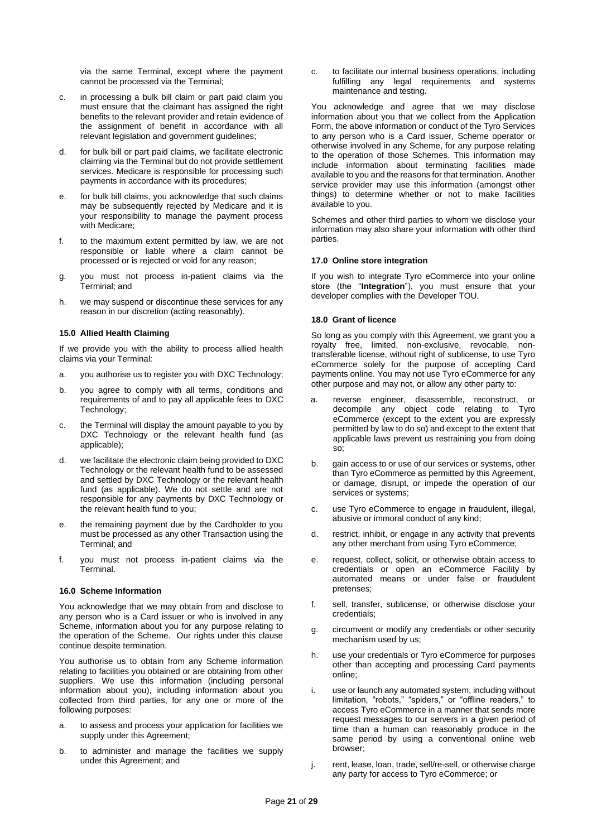via the same Terminal, except where the payment cannot be processed via the Terminal;

- c. in processing a bulk bill claim or part paid claim you must ensure that the claimant has assigned the right benefits to the relevant provider and retain evidence of the assignment of benefit in accordance with all relevant legislation and government guidelines;
- d. for bulk bill or part paid claims, we facilitate electronic claiming via the Terminal but do not provide settlement services. Medicare is responsible for processing such payments in accordance with its procedures;
- e. for bulk bill claims, you acknowledge that such claims may be subsequently rejected by Medicare and it is your responsibility to manage the payment process with Medicare;
- f. to the maximum extent permitted by law, we are not responsible or liable where a claim cannot be processed or is rejected or void for any reason;
- g. you must not process in-patient claims via the Terminal; and
- h. we may suspend or discontinue these services for any reason in our discretion (acting reasonably).

# **15.0 Allied Health Claiming**

If we provide you with the ability to process allied health claims via your Terminal:

- a. you authorise us to register you with DXC Technology;
- b. you agree to comply with all terms, conditions and requirements of and to pay all applicable fees to DXC Technology;
- c. the Terminal will display the amount payable to you by DXC Technology or the relevant health fund (as applicable);
- d. we facilitate the electronic claim being provided to DXC Technology or the relevant health fund to be assessed and settled by DXC Technology or the relevant health fund (as applicable). We do not settle and are not responsible for any payments by DXC Technology or the relevant health fund to you;
- e. the remaining payment due by the Cardholder to you must be processed as any other Transaction using the Terminal; and
- f. you must not process in-patient claims via the Terminal.

#### <span id="page-20-0"></span>**16.0 Scheme Information**

You acknowledge that we may obtain from and disclose to any person who is a Card issuer or who is involved in any Scheme, information about you for any purpose relating to the operation of the Scheme. Our rights under this clause continue despite termination.

You authorise us to obtain from any Scheme information relating to facilities you obtained or are obtaining from other suppliers. We use this information (including personal information about you), including information about you collected from third parties, for any one or more of the following purposes:

- a. to assess and process your application for facilities we supply under this Agreement;
- b. to administer and manage the facilities we supply under this Agreement; and

c. to facilitate our internal business operations, including fulfilling any legal requirements and systems maintenance and testing.

You acknowledge and agree that we may disclose information about you that we collect from the Application Form, the above information or conduct of the Tyro Services to any person who is a Card issuer, Scheme operator or otherwise involved in any Scheme, for any purpose relating to the operation of those Schemes. This information may include information about terminating facilities made available to you and the reasons for that termination. Another service provider may use this information (amongst other things) to determine whether or not to make facilities available to you.

Schemes and other third parties to whom we disclose your information may also share your information with other third parties.

# **17.0 Online store integration**

If you wish to integrate Tyro eCommerce into your online store (the "**Integration**"), you must ensure that your developer complies with the Developer TOU.

# **18.0 Grant of licence**

So long as you comply with this Agreement, we grant you a royalty free, limited, non-exclusive, revocable, nontransferable license, without right of sublicense, to use Tyro eCommerce solely for the purpose of accepting Card payments online. You may not use Tyro eCommerce for any other purpose and may not, or allow any other party to:

- a. reverse engineer, disassemble, reconstruct, or decompile any object code relating to Tyro eCommerce (except to the extent you are expressly permitted by law to do so) and except to the extent that applicable laws prevent us restraining you from doing so;
- b. gain access to or use of our services or systems, other than Tyro eCommerce as permitted by this Agreement, or damage, disrupt, or impede the operation of our services or systems;
- c. use Tyro eCommerce to engage in fraudulent, illegal, abusive or immoral conduct of any kind;
- d. restrict, inhibit, or engage in any activity that prevents any other merchant from using Tyro eCommerce;
- e. request, collect, solicit, or otherwise obtain access to credentials or open an eCommerce Facility by automated means or under false or fraudulent pretenses;
- f. sell, transfer, sublicense, or otherwise disclose your credentials;
- g. circumvent or modify any credentials or other security mechanism used by us;
- h. use your credentials or Tyro eCommerce for purposes other than accepting and processing Card payments online;
- i. use or launch any automated system, including without limitation, "robots," "spiders," or "offline readers," to access Tyro eCommerce in a manner that sends more request messages to our servers in a given period of time than a human can reasonably produce in the same period by using a conventional online web browser;
- j. rent, lease, loan, trade, sell/re-sell, or otherwise charge any party for access to Tyro eCommerce; or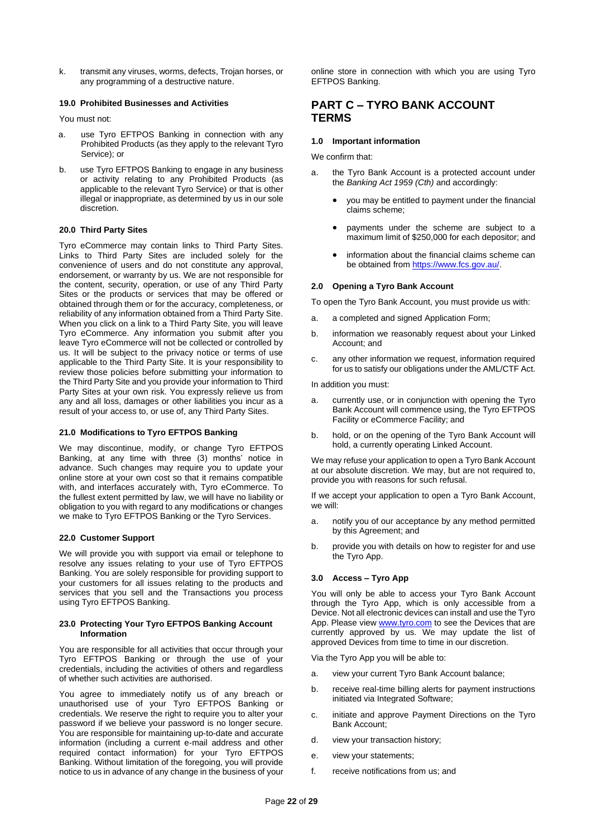k. transmit any viruses, worms, defects, Trojan horses, or any programming of a destructive nature.

# <span id="page-21-0"></span>**19.0 Prohibited Businesses and Activities**

You must not:

- a. use Tyro EFTPOS Banking in connection with any Prohibited Products (as they apply to the relevant Tyro Service); or
- b. use Tyro EFTPOS Banking to engage in any business or activity relating to any Prohibited Products (as applicable to the relevant Tyro Service) or that is other illegal or inappropriate, as determined by us in our sole discretion.

# **20.0 Third Party Sites**

Tyro eCommerce may contain links to Third Party Sites. Links to Third Party Sites are included solely for the convenience of users and do not constitute any approval, endorsement, or warranty by us. We are not responsible for the content, security, operation, or use of any Third Party Sites or the products or services that may be offered or obtained through them or for the accuracy, completeness, or reliability of any information obtained from a Third Party Site. When you click on a link to a Third Party Site, you will leave Tyro eCommerce. Any information you submit after you leave Tyro eCommerce will not be collected or controlled by us. It will be subject to the privacy notice or terms of use applicable to the Third Party Site. It is your responsibility to review those policies before submitting your information to the Third Party Site and you provide your information to Third Party Sites at your own risk. You expressly relieve us from any and all loss, damages or other liabilities you incur as a result of your access to, or use of, any Third Party Sites.

### **21.0 Modifications to Tyro EFTPOS Banking**

We may discontinue, modify, or change Tyro EFTPOS Banking, at any time with three (3) months' notice in advance. Such changes may require you to update your online store at your own cost so that it remains compatible with, and interfaces accurately with, Tyro eCommerce. To the fullest extent permitted by law, we will have no liability or obligation to you with regard to any modifications or changes we make to Tyro EFTPOS Banking or the Tyro Services.

# **22.0 Customer Support**

We will provide you with support via email or telephone to resolve any issues relating to your use of Tyro EFTPOS Banking. You are solely responsible for providing support to your customers for all issues relating to the products and services that you sell and the Transactions you process using Tyro EFTPOS Banking.

## **23.0 Protecting Your Tyro EFTPOS Banking Account Information**

You are responsible for all activities that occur through your Tyro EFTPOS Banking or through the use of your credentials, including the activities of others and regardless of whether such activities are authorised.

You agree to immediately notify us of any breach or unauthorised use of your Tyro EFTPOS Banking or credentials. We reserve the right to require you to alter your password if we believe your password is no longer secure. You are responsible for maintaining up-to-date and accurate information (including a current e-mail address and other required contact information) for your Tyro EFTPOS Banking. Without limitation of the foregoing, you will provide notice to us in advance of any change in the business of your

online store in connection with which you are using Tyro EFTPOS Banking.

# **PART C – TYRO BANK ACCOUNT TERMS**

# **1.0 Important information**

We confirm that:

- a. the Tyro Bank Account is a protected account under the *Banking Act 1959 (Cth)* and accordingly:
	- you may be entitled to payment under the financial claims scheme;
	- payments under the scheme are subject to a maximum limit of \$250,000 for each depositor; and
	- information about the financial claims scheme can be obtained fro[m https://www.fcs.gov.au/.](https://www.fcs.gov.au/)

# **2.0 Opening a Tyro Bank Account**

To open the Tyro Bank Account, you must provide us with:

- a. a completed and signed Application Form;
- b. information we reasonably request about your Linked Account; and
- c. any other information we request, information required for us to satisfy our obligations under the AML/CTF Act.

In addition you must:

- currently use, or in conjunction with opening the Tyro Bank Account will commence using, the Tyro EFTPOS Facility or eCommerce Facility; and
- b. hold, or on the opening of the Tyro Bank Account will hold, a currently operating Linked Account.

We may refuse your application to open a Tyro Bank Account at our absolute discretion. We may, but are not required to, provide you with reasons for such refusal.

If we accept your application to open a Tyro Bank Account, we will:

- a. notify you of our acceptance by any method permitted by this Agreement; and
- b. provide you with details on how to register for and use the Tyro App.

# **3.0 Access – Tyro App**

You will only be able to access your Tyro Bank Account through the Tyro App, which is only accessible from a Device. Not all electronic devices can install and use the Tyro App. Please view [www.tyro.com](http://www.tyro.com/) to see the Devices that are currently approved by us. We may update the list of approved Devices from time to time in our discretion.

Via the Tyro App you will be able to:

- a. view your current Tyro Bank Account balance;
- b. receive real-time billing alerts for payment instructions initiated via Integrated Software;
- c. initiate and approve Payment Directions on the Tyro Bank Account;
- d. view your transaction history;
- e. view your statements;
- f. receive notifications from us; and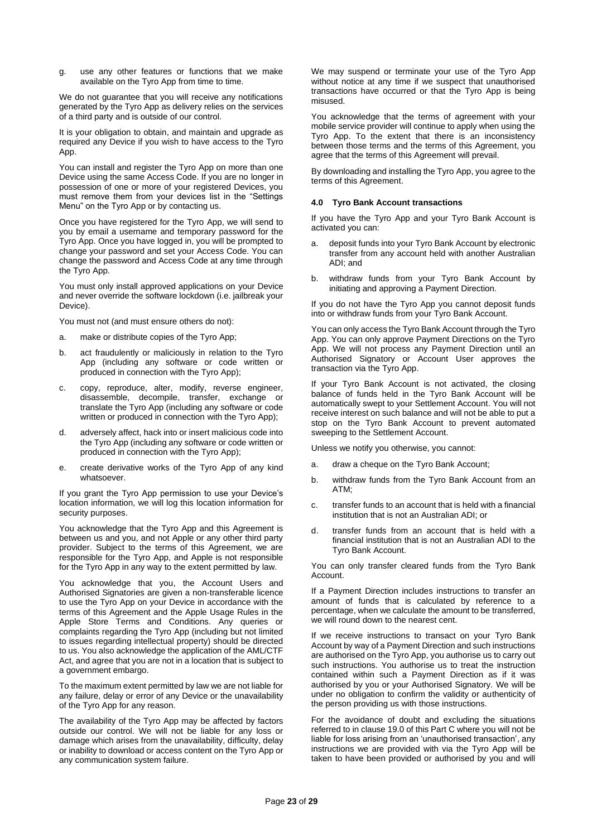g. use any other features or functions that we make available on the Tyro App from time to time.

We do not guarantee that you will receive any notifications generated by the Tyro App as delivery relies on the services of a third party and is outside of our control.

It is your obligation to obtain, and maintain and upgrade as required any Device if you wish to have access to the Tyro App.

You can install and register the Tyro App on more than one Device using the same Access Code. If you are no longer in possession of one or more of your registered Devices, you must remove them from your devices list in the "Settings Menu" on the Tyro App or by contacting us.

Once you have registered for the Tyro App, we will send to you by email a username and temporary password for the Tyro App. Once you have logged in, you will be prompted to change your password and set your Access Code. You can change the password and Access Code at any time through the Tyro App.

You must only install approved applications on your Device and never override the software lockdown (i.e. jailbreak your Device).

You must not (and must ensure others do not):

- a. make or distribute copies of the Tyro App;
- b. act fraudulently or maliciously in relation to the Tyro App (including any software or code written or produced in connection with the Tyro App);
- c. copy, reproduce, alter, modify, reverse engineer, disassemble, decompile, transfer, exchange or translate the Tyro App (including any software or code written or produced in connection with the Tyro App);
- d. adversely affect, hack into or insert malicious code into the Tyro App (including any software or code written or produced in connection with the Tyro App);
- e. create derivative works of the Tyro App of any kind whatsoever.

If you grant the Tyro App permission to use your Device's location information, we will log this location information for security purposes.

You acknowledge that the Tyro App and this Agreement is between us and you, and not Apple or any other third party provider. Subject to the terms of this Agreement, we are responsible for the Tyro App, and Apple is not responsible for the Tyro App in any way to the extent permitted by law.

You acknowledge that you, the Account Users and Authorised Signatories are given a non-transferable licence to use the Tyro App on your Device in accordance with the terms of this Agreement and the Apple Usage Rules in the Apple Store Terms and Conditions. Any queries or complaints regarding the Tyro App (including but not limited to issues regarding intellectual property) should be directed to us. You also acknowledge the application of the AML/CTF Act, and agree that you are not in a location that is subject to a government embargo.

To the maximum extent permitted by law we are not liable for any failure, delay or error of any Device or the unavailability of the Tyro App for any reason.

The availability of the Tyro App may be affected by factors outside our control. We will not be liable for any loss or damage which arises from the unavailability, difficulty, delay or inability to download or access content on the Tyro App or any communication system failure.

We may suspend or terminate your use of the Tyro App without notice at any time if we suspect that unauthorised transactions have occurred or that the Tyro App is being misused.

You acknowledge that the terms of agreement with your mobile service provider will continue to apply when using the Tyro App. To the extent that there is an inconsistency between those terms and the terms of this Agreement, you agree that the terms of this Agreement will prevail.

By downloading and installing the Tyro App, you agree to the terms of this Agreement.

# **4.0 Tyro Bank Account transactions**

If you have the Tyro App and your Tyro Bank Account is activated you can:

- deposit funds into your Tyro Bank Account by electronic transfer from any account held with another Australian ADI; and
- b. withdraw funds from your Tyro Bank Account by initiating and approving a Payment Direction.

If you do not have the Tyro App you cannot deposit funds into or withdraw funds from your Tyro Bank Account.

You can only access the Tyro Bank Account through the Tyro App. You can only approve Payment Directions on the Tyro App. We will not process any Payment Direction until an Authorised Signatory or Account User approves the transaction via the Tyro App.

If your Tyro Bank Account is not activated, the closing balance of funds held in the Tyro Bank Account will be automatically swept to your Settlement Account. You will not receive interest on such balance and will not be able to put a stop on the Tyro Bank Account to prevent automated sweeping to the Settlement Account.

Unless we notify you otherwise, you cannot:

- a. draw a cheque on the Tyro Bank Account;
- b. withdraw funds from the Tyro Bank Account from an ATM;
- c. transfer funds to an account that is held with a financial institution that is not an Australian ADI; or
- d. transfer funds from an account that is held with a financial institution that is not an Australian ADI to the Tyro Bank Account.

You can only transfer cleared funds from the Tyro Bank Account.

If a Payment Direction includes instructions to transfer an amount of funds that is calculated by reference to a percentage, when we calculate the amount to be transferred, we will round down to the nearest cent.

If we receive instructions to transact on your Tyro Bank Account by way of a Payment Direction and such instructions are authorised on the Tyro App, you authorise us to carry out such instructions. You authorise us to treat the instruction contained within such a Payment Direction as if it was authorised by you or your Authorised Signatory. We will be under no obligation to confirm the validity or authenticity of the person providing us with those instructions.

For the avoidance of doubt and excluding the situations referred to in clause 19.0 of this Part C where you will not be liable for loss arising from an 'unauthorised transaction', any instructions we are provided with via the Tyro App will be taken to have been provided or authorised by you and will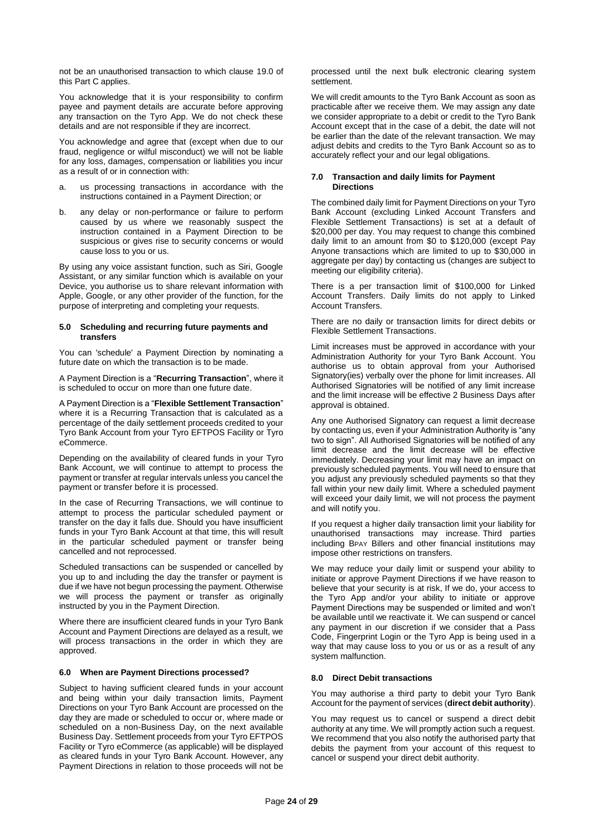not be an unauthorised transaction to which clause [19.0](#page-25-1) of this Part C applies.

You acknowledge that it is your responsibility to confirm payee and payment details are accurate before approving any transaction on the Tyro App. We do not check these details and are not responsible if they are incorrect.

You acknowledge and agree that (except when due to our fraud, negligence or wilful misconduct) we will not be liable for any loss, damages, compensation or liabilities you incur as a result of or in connection with:

- a. us processing transactions in accordance with the instructions contained in a Payment Direction; or
- b. any delay or non-performance or failure to perform caused by us where we reasonably suspect the instruction contained in a Payment Direction to be suspicious or gives rise to security concerns or would cause loss to you or us.

By using any voice assistant function, such as Siri, Google Assistant, or any similar function which is available on your Device, you authorise us to share relevant information with Apple, Google, or any other provider of the function, for the purpose of interpreting and completing your requests.

## <span id="page-23-0"></span>**5.0 Scheduling and recurring future payments and transfers**

You can 'schedule' a Payment Direction by nominating a future date on which the transaction is to be made.

A Payment Direction is a "**Recurring Transaction**", where it is scheduled to occur on more than one future date.

A Payment Direction is a "**Flexible Settlement Transaction**" where it is a Recurring Transaction that is calculated as a percentage of the daily settlement proceeds credited to your Tyro Bank Account from your Tyro EFTPOS Facility or Tyro eCommerce.

Depending on the availability of cleared funds in your Tyro Bank Account, we will continue to attempt to process the payment or transfer at regular intervals unless you cancel the payment or transfer before it is processed.

In the case of Recurring Transactions, we will continue to attempt to process the particular scheduled payment or transfer on the day it falls due. Should you have insufficient funds in your Tyro Bank Account at that time, this will result in the particular scheduled payment or transfer being cancelled and not reprocessed.

Scheduled transactions can be suspended or cancelled by you up to and including the day the transfer or payment is due if we have not begun processing the payment. Otherwise we will process the payment or transfer as originally instructed by you in the Payment Direction.

Where there are insufficient cleared funds in your Tyro Bank Account and Payment Directions are delayed as a result, we will process transactions in the order in which they are approved.

#### **6.0 When are Payment Directions processed?**

Subject to having sufficient cleared funds in your account and being within your daily transaction limits, Payment Directions on your Tyro Bank Account are processed on the day they are made or scheduled to occur or, where made or scheduled on a non-Business Day, on the next available Business Day. Settlement proceeds from your Tyro EFTPOS Facility or Tyro eCommerce (as applicable) will be displayed as cleared funds in your Tyro Bank Account. However, any Payment Directions in relation to those proceeds will not be processed until the next bulk electronic clearing system settlement.

We will credit amounts to the Tyro Bank Account as soon as practicable after we receive them. We may assign any date we consider appropriate to a debit or credit to the Tyro Bank Account except that in the case of a debit, the date will not be earlier than the date of the relevant transaction. We may adjust debits and credits to the Tyro Bank Account so as to accurately reflect your and our legal obligations.

#### <span id="page-23-1"></span>**7.0 Transaction and daily limits for Payment Directions**

The combined daily limit for Payment Directions on your Tyro Bank Account (excluding Linked Account Transfers and Flexible Settlement Transactions) is set at a default of \$20,000 per day. You may request to change this combined daily limit to an amount from \$0 to \$120,000 (except Pay Anyone transactions which are limited to up to \$30,000 in aggregate per day) by contacting us (changes are subject to meeting our eligibility criteria).

There is a per transaction limit of \$100,000 for Linked Account Transfers. Daily limits do not apply to Linked Account Transfers.

There are no daily or transaction limits for direct debits or Flexible Settlement Transactions.

Limit increases must be approved in accordance with your Administration Authority for your Tyro Bank Account. You authorise us to obtain approval from your Authorised Signatory(ies) verbally over the phone for limit increases. All Authorised Signatories will be notified of any limit increase and the limit increase will be effective 2 Business Days after approval is obtained.

Any one Authorised Signatory can request a limit decrease by contacting us, even if your Administration Authority is "any two to sign". All Authorised Signatories will be notified of any limit decrease and the limit decrease will be effective immediately. Decreasing your limit may have an impact on previously scheduled payments. You will need to ensure that you adjust any previously scheduled payments so that they fall within your new daily limit. Where a scheduled payment will exceed your daily limit, we will not process the payment and will notify you.

If you request a higher daily transaction limit your liability for unauthorised transactions may increase. Third parties including BPAY Billers and other financial institutions may impose other restrictions on transfers.

We may reduce your daily limit or suspend your ability to initiate or approve Payment Directions if we have reason to believe that your security is at risk, If we do, your access to the Tyro App and/or your ability to initiate or approve Payment Directions may be suspended or limited and won't be available until we reactivate it. We can suspend or cancel any payment in our discretion if we consider that a Pass Code, Fingerprint Login or the Tyro App is being used in a way that may cause loss to you or us or as a result of any system malfunction.

# **8.0 Direct Debit transactions**

You may authorise a third party to debit your Tyro Bank Account for the payment of services (**direct debit authority**).

You may request us to cancel or suspend a direct debit authority at any time. We will promptly action such a request. We recommend that you also notify the authorised party that debits the payment from your account of this request to cancel or suspend your direct debit authority.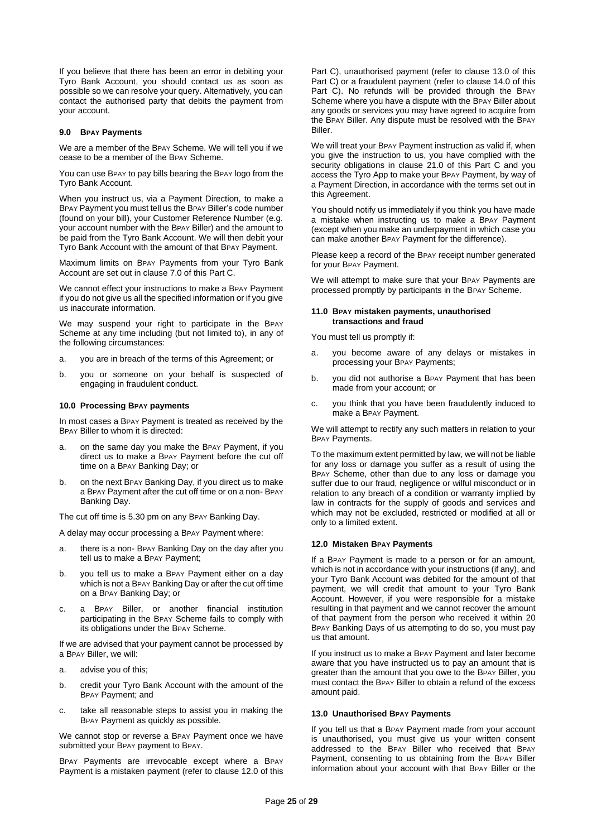If you believe that there has been an error in debiting your Tyro Bank Account, you should contact us as soon as possible so we can resolve your query. Alternatively, you can contact the authorised party that debits the payment from your account.

# **9.0 BPAY Payments**

We are a member of the BPAY Scheme. We will tell you if we cease to be a member of the BPAY Scheme.

You can use BPAY to pay bills bearing the BPAY logo from the Tyro Bank Account.

When you instruct us, via a Payment Direction, to make a BPAY Payment you must tell us the BPAY Biller's code number (found on your bill), your Customer Reference Number (e.g. your account number with the BPAY Biller) and the amount to be paid from the Tyro Bank Account. We will then debit your Tyro Bank Account with the amount of that BPAY Payment.

Maximum limits on BPAY Payments from your Tyro Bank Account are set out in clause [7.0](#page-23-1) of this Part C.

We cannot effect your instructions to make a BPAY Payment if you do not give us all the specified information or if you give us inaccurate information.

We may suspend your right to participate in the BPAY Scheme at any time including (but not limited to), in any of the following circumstances:

- a. you are in breach of the terms of this Agreement; or
- b. you or someone on your behalf is suspected of engaging in fraudulent conduct.

# **10.0 Processing BPAY payments**

In most cases a BPAY Payment is treated as received by the BPAY Biller to whom it is directed:

- a. on the same day you make the BPAY Payment, if you direct us to make a BPAY Payment before the cut off time on a BPAY Banking Day; or
- b. on the next BPAY Banking Day, if you direct us to make a BPAY Payment after the cut off time or on a non- BPAY Banking Day.

The cut off time is 5.30 pm on any BPAY Banking Day.

A delay may occur processing a BPAY Payment where:

- a. there is a non- BPAY Banking Day on the day after you tell us to make a BPAY Payment;
- b. you tell us to make a BPAY Payment either on a day which is not a BPAY Banking Day or after the cut off time on a BPAY Banking Day; or
- c. a BPAY Biller, or another financial institution participating in the BPAY Scheme fails to comply with its obligations under the BPAY Scheme.

If we are advised that your payment cannot be processed by a BPAY Biller, we will:

- a. advise you of this;
- b. credit your Tyro Bank Account with the amount of the BPAY Payment; and
- c. take all reasonable steps to assist you in making the BPAY Payment as quickly as possible.

We cannot stop or reverse a BPAY Payment once we have submitted your BPAY payment to BPAY.

BPAY Payments are irrevocable except where a BPAY Payment is a mistaken payment (refer to clause [12.0](#page-24-0) of this Part C), unauthorised payment (refer to clause [13.0](#page-24-1) of this Part C) or a fraudulent payment (refer to clause [14.0](#page-25-2) of this Part C). No refunds will be provided through the BPAY Scheme where you have a dispute with the BPAY Biller about any goods or services you may have agreed to acquire from the BPAY Biller. Any dispute must be resolved with the BPAY Biller.

We will treat your BPAY Payment instruction as valid if, when you give the instruction to us, you have complied with the security obligations in clause [21.0](#page-26-0) of this Part C and you access the Tyro App to make your BPAY Payment, by way of a Payment Direction, in accordance with the terms set out in this Agreement.

You should notify us immediately if you think you have made a mistake when instructing us to make a BPAY Payment (except when you make an underpayment in which case you can make another BPAY Payment for the difference).

Please keep a record of the BPAY receipt number generated for your BPAY Payment.

We will attempt to make sure that your BPAY Payments are processed promptly by participants in the BPAY Scheme.

## **11.0 BPAY mistaken payments, unauthorised transactions and fraud**

You must tell us promptly if:

- a. you become aware of any delays or mistakes in processing your BPAY Payments;
- b. you did not authorise a BPAY Payment that has been made from your account; or
- c. you think that you have been fraudulently induced to make a BPAY Payment.

We will attempt to rectify any such matters in relation to your BPAY Payments.

To the maximum extent permitted by law, we will not be liable for any loss or damage you suffer as a result of using the BPAY Scheme, other than due to any loss or damage you suffer due to our fraud, negligence or wilful misconduct or in relation to any breach of a condition or warranty implied by law in contracts for the supply of goods and services and which may not be excluded, restricted or modified at all or only to a limited extent.

# <span id="page-24-0"></span>**12.0 Mistaken BPAY Payments**

If a BPAY Payment is made to a person or for an amount, which is not in accordance with your instructions (if any), and your Tyro Bank Account was debited for the amount of that payment, we will credit that amount to your Tyro Bank Account. However, if you were responsible for a mistake resulting in that payment and we cannot recover the amount of that payment from the person who received it within 20 BPAY Banking Days of us attempting to do so, you must pay us that amount.

If you instruct us to make a BPAY Payment and later become aware that you have instructed us to pay an amount that is greater than the amount that you owe to the BPAY Biller, you must contact the BPAY Biller to obtain a refund of the excess amount paid.

# <span id="page-24-1"></span>**13.0 Unauthorised BPAY Payments**

If you tell us that a BPAY Payment made from your account is unauthorised, you must give us your written consent addressed to the BPAY Biller who received that BPAY Payment, consenting to us obtaining from the BPAY Biller information about your account with that BPAY Biller or the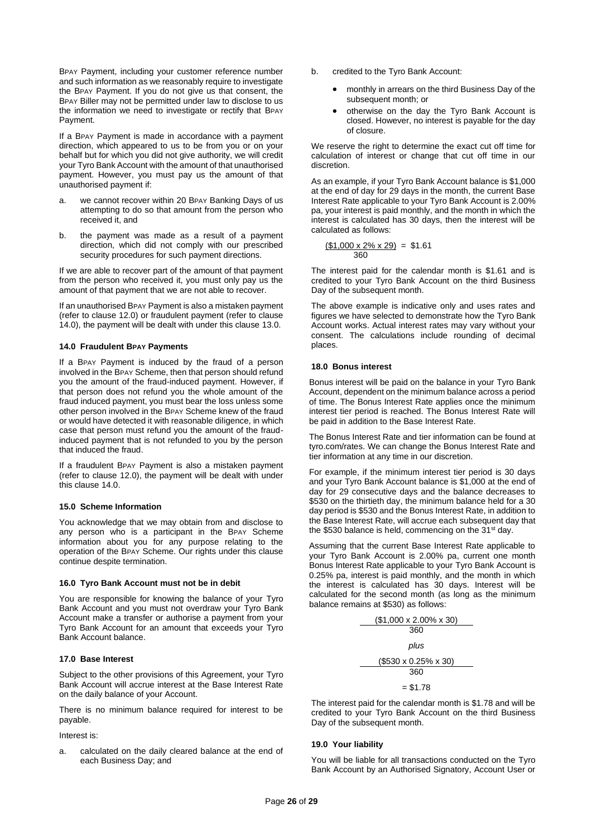BPAY Payment, including your customer reference number and such information as we reasonably require to investigate the BPAY Payment. If you do not give us that consent, the BPAY Biller may not be permitted under law to disclose to us the information we need to investigate or rectify that BPAY Payment.

If a BPAY Payment is made in accordance with a payment direction, which appeared to us to be from you or on your behalf but for which you did not give authority, we will credit your Tyro Bank Account with the amount of that unauthorised payment. However, you must pay us the amount of that unauthorised payment if:

- a. we cannot recover within 20 BPAY Banking Days of us attempting to do so that amount from the person who received it, and
- b. the payment was made as a result of a payment direction, which did not comply with our prescribed security procedures for such payment directions.

If we are able to recover part of the amount of that payment from the person who received it, you must only pay us the amount of that payment that we are not able to recover.

If an unauthorised BPAY Payment is also a mistaken payment (refer to clause [12.0\)](#page-24-0) or fraudulent payment (refer to clause [14.0\)](#page-25-2), the payment will be dealt with under this claus[e 13.0.](#page-24-1)

# <span id="page-25-2"></span>**14.0 Fraudulent BPAY Payments**

If a BPAY Payment is induced by the fraud of a person involved in the BPAY Scheme, then that person should refund you the amount of the fraud-induced payment. However, if that person does not refund you the whole amount of the fraud induced payment, you must bear the loss unless some other person involved in the BPAY Scheme knew of the fraud or would have detected it with reasonable diligence, in which case that person must refund you the amount of the fraudinduced payment that is not refunded to you by the person that induced the fraud.

If a fraudulent BPAY Payment is also a mistaken payment (refer to clause [12.0\)](#page-24-0), the payment will be dealt with under this clause [14.0.](#page-25-2)

#### <span id="page-25-0"></span>**15.0 Scheme Information**

You acknowledge that we may obtain from and disclose to any person who is a participant in the BPAY Scheme information about you for any purpose relating to the operation of the BPAY Scheme. Our rights under this clause continue despite termination.

#### **16.0 Tyro Bank Account must not be in debit**

You are responsible for knowing the balance of your Tyro Bank Account and you must not overdraw your Tyro Bank Account make a transfer or authorise a payment from your Tyro Bank Account for an amount that exceeds your Tyro Bank Account balance.

#### **17.0 Base Interest**

Subject to the other provisions of this Agreement, your Tyro Bank Account will accrue interest at the Base Interest Rate on the daily balance of your Account.

There is no minimum balance required for interest to be payable.

Interest is:

a. calculated on the daily cleared balance at the end of each Business Day; and

- b. credited to the Tyro Bank Account:
	- monthly in arrears on the third Business Day of the subsequent month; or
	- otherwise on the day the Tyro Bank Account is closed. However, no interest is payable for the day of closure.

We reserve the right to determine the exact cut off time for calculation of interest or change that cut off time in our discretion.

As an example, if your Tyro Bank Account balance is \$1,000 at the end of day for 29 days in the month, the current Base Interest Rate applicable to your Tyro Bank Account is 2.00% pa, your interest is paid monthly, and the month in which the interest is calculated has 30 days, then the interest will be calculated as follows:

$$
\frac{\text{($1,000 x 2\% x 29)}}{360} = $1.61
$$

The interest paid for the calendar month is \$1.61 and is credited to your Tyro Bank Account on the third Business Day of the subsequent month.

The above example is indicative only and uses rates and figures we have selected to demonstrate how the Tyro Bank Account works. Actual interest rates may vary without your consent. The calculations include rounding of decimal places.

#### **18.0 Bonus interest**

Bonus interest will be paid on the balance in your Tyro Bank Account, dependent on the minimum balance across a period of time. The Bonus Interest Rate applies once the minimum interest tier period is reached. The Bonus Interest Rate will be paid in addition to the Base Interest Rate.

The Bonus Interest Rate and tier information can be found at tyro.com/rates. We can change the Bonus Interest Rate and tier information at any time in our discretion.

For example, if the minimum interest tier period is 30 days and your Tyro Bank Account balance is \$1,000 at the end of day for 29 consecutive days and the balance decreases to \$530 on the thirtieth day, the minimum balance held for a 30 day period is \$530 and the Bonus Interest Rate, in addition to the Base Interest Rate, will accrue each subsequent day that the \$530 balance is held, commencing on the 31<sup>st</sup> day.

Assuming that the current Base Interest Rate applicable to your Tyro Bank Account is 2.00% pa, current one month Bonus Interest Rate applicable to your Tyro Bank Account is 0.25% pa, interest is paid monthly, and the month in which the interest is calculated has 30 days. Interest will be calculated for the second month (as long as the minimum balance remains at \$530) as follows:

$$
\frac{\text{($1,000 x 2.00% x 30)}}{360}
$$
\nplus\n  
\n
$$
\frac{\text{($530 x 0.25% x 30)}}{360}
$$
\n= \$1.78

The interest paid for the calendar month is \$1.78 and will be credited to your Tyro Bank Account on the third Business Day of the subsequent month.

#### <span id="page-25-1"></span>**19.0 Your liability**

You will be liable for all transactions conducted on the Tyro Bank Account by an Authorised Signatory, Account User or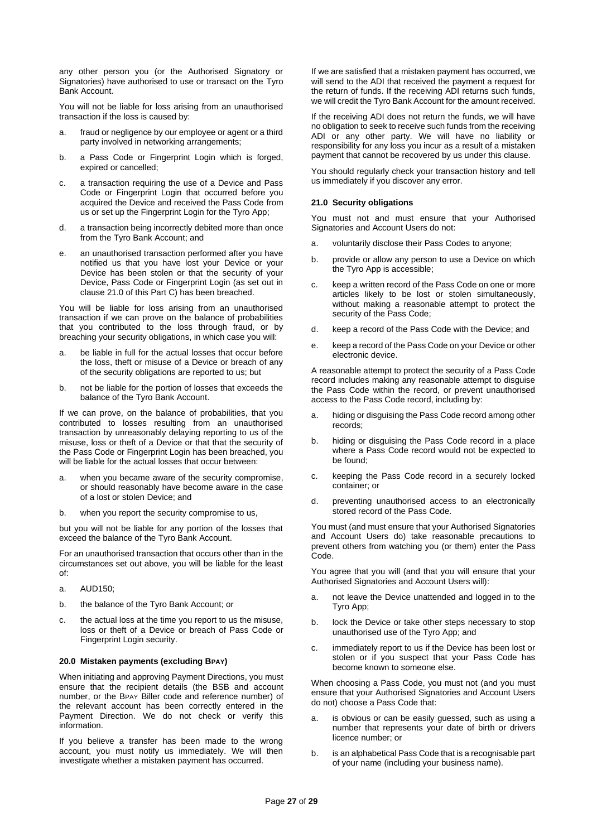any other person you (or the Authorised Signatory or Signatories) have authorised to use or transact on the Tyro Bank Account.

You will not be liable for loss arising from an unauthorised transaction if the loss is caused by:

- a. fraud or negligence by our employee or agent or a third party involved in networking arrangements;
- b. a Pass Code or Fingerprint Login which is forged, expired or cancelled;
- c. a transaction requiring the use of a Device and Pass Code or Fingerprint Login that occurred before you acquired the Device and received the Pass Code from us or set up the Fingerprint Login for the Tyro App;
- d. a transaction being incorrectly debited more than once from the Tyro Bank Account; and
- e. an unauthorised transaction performed after you have notified us that you have lost your Device or your Device has been stolen or that the security of your Device, Pass Code or Fingerprint Login (as set out in claus[e 21.0](#page-26-0) of this Part C) has been breached.

You will be liable for loss arising from an unauthorised transaction if we can prove on the balance of probabilities that you contributed to the loss through fraud, or by breaching your security obligations, in which case you will:

- a. be liable in full for the actual losses that occur before the loss, theft or misuse of a Device or breach of any of the security obligations are reported to us; but
- b. not be liable for the portion of losses that exceeds the balance of the Tyro Bank Account.

If we can prove, on the balance of probabilities, that you contributed to losses resulting from an unauthorised transaction by unreasonably delaying reporting to us of the misuse, loss or theft of a Device or that that the security of the Pass Code or Fingerprint Login has been breached, you will be liable for the actual losses that occur between:

- a. when you became aware of the security compromise, or should reasonably have become aware in the case of a lost or stolen Device; and
- b. when you report the security compromise to us,

but you will not be liable for any portion of the losses that exceed the balance of the Tyro Bank Account.

For an unauthorised transaction that occurs other than in the circumstances set out above, you will be liable for the least of:

- a. AUD150;
- b. the balance of the Tyro Bank Account; or
- c. the actual loss at the time you report to us the misuse, loss or theft of a Device or breach of Pass Code or Fingerprint Login security.

# **20.0 Mistaken payments (excluding BPAY)**

When initiating and approving Payment Directions, you must ensure that the recipient details (the BSB and account number, or the BPAY Biller code and reference number) of the relevant account has been correctly entered in the Payment Direction. We do not check or verify this information.

If you believe a transfer has been made to the wrong account, you must notify us immediately. We will then investigate whether a mistaken payment has occurred.

If we are satisfied that a mistaken payment has occurred, we will send to the ADI that received the payment a request for the return of funds. If the receiving ADI returns such funds, we will credit the Tyro Bank Account for the amount received.

If the receiving ADI does not return the funds, we will have no obligation to seek to receive such funds from the receiving ADI or any other party. We will have no liability or responsibility for any loss you incur as a result of a mistaken payment that cannot be recovered by us under this clause.

You should regularly check your transaction history and tell us immediately if you discover any error.

# <span id="page-26-0"></span>**21.0 Security obligations**

You must not and must ensure that your Authorised Signatories and Account Users do not:

- a. voluntarily disclose their Pass Codes to anyone;
- b. provide or allow any person to use a Device on which the Tyro App is accessible;
- c. keep a written record of the Pass Code on one or more articles likely to be lost or stolen simultaneously, without making a reasonable attempt to protect the security of the Pass Code;
- d. keep a record of the Pass Code with the Device; and
- e. keep a record of the Pass Code on your Device or other electronic device.

A reasonable attempt to protect the security of a Pass Code record includes making any reasonable attempt to disguise the Pass Code within the record, or prevent unauthorised access to the Pass Code record, including by:

- a. hiding or disguising the Pass Code record among other records;
- b. hiding or disguising the Pass Code record in a place where a Pass Code record would not be expected to be found;
- c. keeping the Pass Code record in a securely locked container; or
- d. preventing unauthorised access to an electronically stored record of the Pass Code.

You must (and must ensure that your Authorised Signatories and Account Users do) take reasonable precautions to prevent others from watching you (or them) enter the Pass Code.

You agree that you will (and that you will ensure that your Authorised Signatories and Account Users will):

- a. not leave the Device unattended and logged in to the Tyro App;
- b. lock the Device or take other steps necessary to stop unauthorised use of the Tyro App; and
- c. immediately report to us if the Device has been lost or stolen or if you suspect that your Pass Code has become known to someone else.

When choosing a Pass Code, you must not (and you must ensure that your Authorised Signatories and Account Users do not) choose a Pass Code that:

- a. is obvious or can be easily guessed, such as using a number that represents your date of birth or drivers licence number; or
- b. is an alphabetical Pass Code that is a recognisable part of your name (including your business name).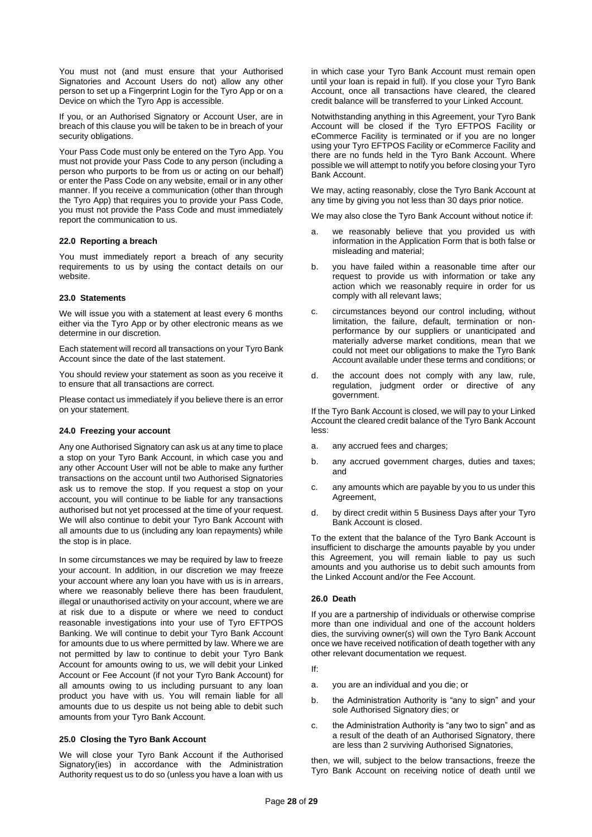You must not (and must ensure that your Authorised Signatories and Account Users do not) allow any other person to set up a Fingerprint Login for the Tyro App or on a Device on which the Tyro App is accessible.

If you, or an Authorised Signatory or Account User, are in breach of this clause you will be taken to be in breach of your security obligations.

Your Pass Code must only be entered on the Tyro App. You must not provide your Pass Code to any person (including a person who purports to be from us or acting on our behalf) or enter the Pass Code on any website, email or in any other manner. If you receive a communication (other than through the Tyro App) that requires you to provide your Pass Code, you must not provide the Pass Code and must immediately report the communication to us.

# **22.0 Reporting a breach**

You must immediately report a breach of any security requirements to us by using the contact details on our website.

# <span id="page-27-0"></span>**23.0 Statements**

We will issue you with a statement at least every 6 months either via the Tyro App or by other electronic means as we determine in our discretion.

Each statement will record all transactions on your Tyro Bank Account since the date of the last statement.

You should review your statement as soon as you receive it to ensure that all transactions are correct.

Please contact us immediately if you believe there is an error on your statement.

## **24.0 Freezing your account**

Any one Authorised Signatory can ask us at any time to place a stop on your Tyro Bank Account, in which case you and any other Account User will not be able to make any further transactions on the account until two Authorised Signatories ask us to remove the stop. If you request a stop on your account, you will continue to be liable for any transactions authorised but not yet processed at the time of your request. We will also continue to debit your Tyro Bank Account with all amounts due to us (including any loan repayments) while the stop is in place.

In some circumstances we may be required by law to freeze your account. In addition, in our discretion we may freeze your account where any loan you have with us is in arrears, where we reasonably believe there has been fraudulent, illegal or unauthorised activity on your account, where we are at risk due to a dispute or where we need to conduct reasonable investigations into your use of Tyro EFTPOS Banking. We will continue to debit your Tyro Bank Account for amounts due to us where permitted by law. Where we are not permitted by law to continue to debit your Tyro Bank Account for amounts owing to us, we will debit your Linked Account or Fee Account (if not your Tyro Bank Account) for all amounts owing to us including pursuant to any loan product you have with us. You will remain liable for all amounts due to us despite us not being able to debit such amounts from your Tyro Bank Account.

# **25.0 Closing the Tyro Bank Account**

We will close your Tyro Bank Account if the Authorised Signatory(ies) in accordance with the Administration Authority request us to do so (unless you have a loan with us in which case your Tyro Bank Account must remain open until your loan is repaid in full). If you close your Tyro Bank Account, once all transactions have cleared, the cleared credit balance will be transferred to your Linked Account.

Notwithstanding anything in this Agreement, your Tyro Bank Account will be closed if the Tyro EFTPOS Facility or eCommerce Facility is terminated or if you are no longer using your Tyro EFTPOS Facility or eCommerce Facility and there are no funds held in the Tyro Bank Account. Where possible we will attempt to notify you before closing your Tyro Bank Account.

We may, acting reasonably, close the Tyro Bank Account at any time by giving you not less than 30 days prior notice.

We may also close the Tyro Bank Account without notice if:

- a. we reasonably believe that you provided us with information in the Application Form that is both false or misleading and material;
- b. you have failed within a reasonable time after our request to provide us with information or take any action which we reasonably require in order for us comply with all relevant laws;
- c. circumstances beyond our control including, without limitation, the failure, default, termination or nonperformance by our suppliers or unanticipated and materially adverse market conditions, mean that we could not meet our obligations to make the Tyro Bank Account available under these terms and conditions; or
- d. the account does not comply with any law, rule, regulation, judgment order or directive of any government.

If the Tyro Bank Account is closed, we will pay to your Linked Account the cleared credit balance of the Tyro Bank Account less:

- a. any accrued fees and charges;
- b. any accrued government charges, duties and taxes; and
- c. any amounts which are payable by you to us under this Agreement,
- d. by direct credit within 5 Business Days after your Tyro Bank Account is closed.

To the extent that the balance of the Tyro Bank Account is insufficient to discharge the amounts payable by you under this Agreement, you will remain liable to pay us such amounts and you authorise us to debit such amounts from the Linked Account and/or the Fee Account.

# **26.0 Death**

If you are a partnership of individuals or otherwise comprise more than one individual and one of the account holders dies, the surviving owner(s) will own the Tyro Bank Account once we have received notification of death together with any other relevant documentation we request.

- If:
- a. you are an individual and you die; or
- b. the Administration Authority is "any to sign" and your sole Authorised Signatory dies; or
- c. the Administration Authority is "any two to sign" and as a result of the death of an Authorised Signatory, there are less than 2 surviving Authorised Signatories,

then, we will, subject to the below transactions, freeze the Tyro Bank Account on receiving notice of death until we